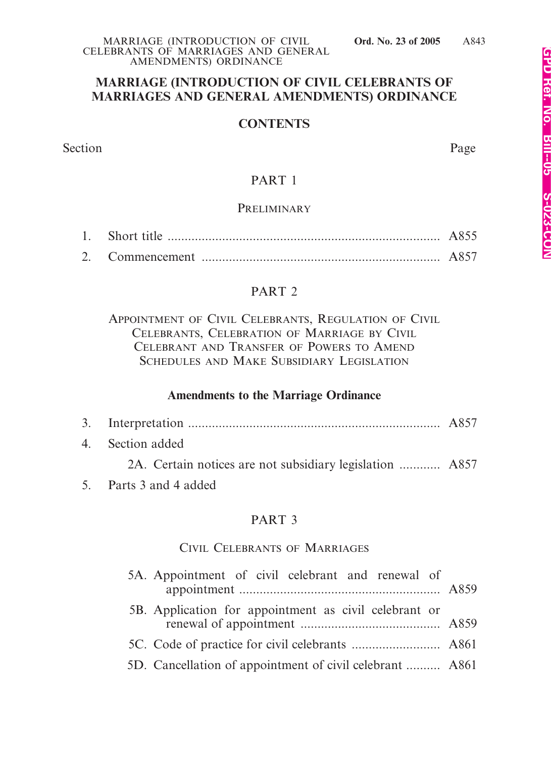### **MARRIAGE (INTRODUCTION OF CIVIL CELEBRANTS OF MARRIAGES AND GENERAL AMENDMENTS) ORDINANCE**

### **CONTENTS**

Section Page

### PART 1

### **PRELIMINARY**

### PART 2

APPOINTMENT OF CIVIL CELEBRANTS, REGULATION OF CIVIL CELEBRANTS, CELEBRATION OF MARRIAGE BY CIVIL CELEBRANT AND TRANSFER OF POWERS TO AMEND SCHEDULES AND MAKE SUBSIDIARY LEGISLATION

### **Amendments to the Marriage Ordinance**

| 4. Section added                                         |  |
|----------------------------------------------------------|--|
| 2A. Certain notices are not subsidiary legislation  A857 |  |
| 5. Parts 3 and 4 added                                   |  |

### PART 3

### CIVIL CELEBRANTS OF MARRIAGES

| 5A. Appointment of civil celebrant and renewal of        |  |
|----------------------------------------------------------|--|
| 5B. Application for appointment as civil celebrant or    |  |
|                                                          |  |
| 5D. Cancellation of appointment of civil celebrant  A861 |  |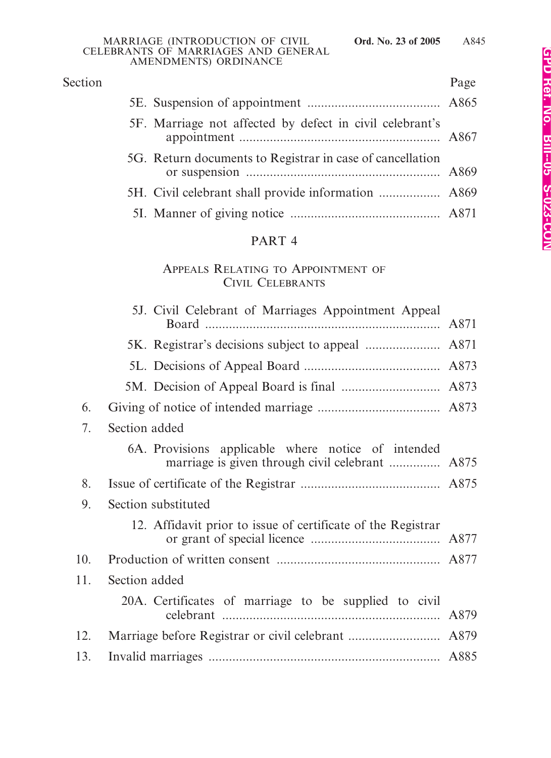| Section |                                                           | Page |
|---------|-----------------------------------------------------------|------|
|         |                                                           |      |
|         | 5F. Marriage not affected by defect in civil celebrant's  |      |
|         | 5G. Return documents to Registrar in case of cancellation |      |
|         |                                                           |      |
|         |                                                           |      |

# PART 4

# APPEALS RELATING TO APPOINTMENT OF CIVIL CELEBRANTS

|     | 5J. Civil Celebrant of Marriages Appointment Appeal                                                   |  |
|-----|-------------------------------------------------------------------------------------------------------|--|
|     |                                                                                                       |  |
|     |                                                                                                       |  |
|     |                                                                                                       |  |
| 6.  |                                                                                                       |  |
| 7.  | Section added                                                                                         |  |
|     | 6A. Provisions applicable where notice of intended<br>marriage is given through civil celebrant  A875 |  |
| 8.  |                                                                                                       |  |
| 9.  | Section substituted                                                                                   |  |
|     | 12. Affidavit prior to issue of certificate of the Registrar                                          |  |
| 10. |                                                                                                       |  |
| 11. | Section added                                                                                         |  |
|     | 20A. Certificates of marriage to be supplied to civil                                                 |  |
| 12. |                                                                                                       |  |
| 13. |                                                                                                       |  |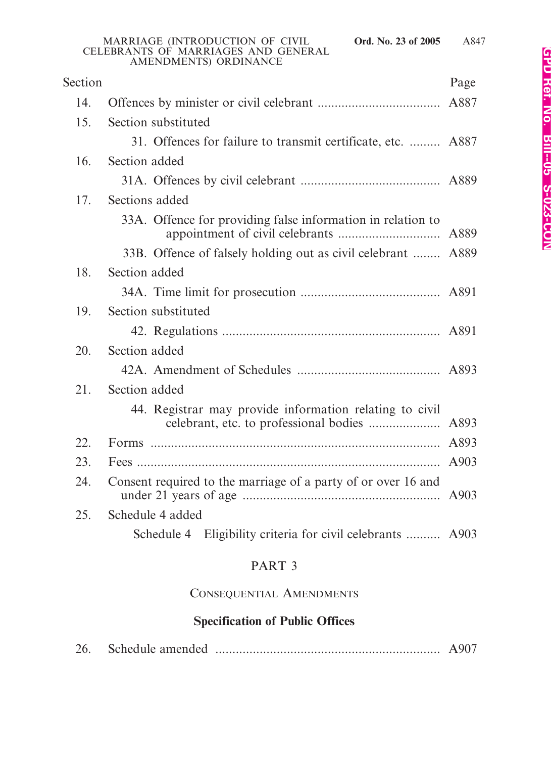|         | <b>CELEBRANTS OF MARRIAGES AND GENERAL</b><br>AMENDMENTS) ORDINANCE |      |
|---------|---------------------------------------------------------------------|------|
| Section |                                                                     | Page |
| 14.     |                                                                     |      |
| 15.     | Section substituted                                                 |      |
|         | 31. Offences for failure to transmit certificate, etc.  A887        |      |
| 16.     | Section added                                                       |      |
|         |                                                                     |      |
| 17.     | Sections added                                                      |      |
|         | 33A. Offence for providing false information in relation to         |      |
|         | 33B. Offence of falsely holding out as civil celebrant  A889        |      |
| 18.     | Section added                                                       |      |
|         |                                                                     |      |
| 19.     | Section substituted                                                 |      |
|         |                                                                     |      |
| 20.     | Section added                                                       |      |

# 42A. Amendment of Schedules .......................................... A893 21. Section added 44. Registrar may provide information relating to civil celebrant, etc. to professional bodies ..................... A893 22. Forms ..................................................................................... A893 23. Fees ......................................................................................... A903 24. Consent required to the marriage of a party of or over 16 and under 21 years of age .......................................................... A903 25. Schedule 4 added

Schedule 4 Eligibility criteria for civil celebrants .......... A903

# PART 3

## CONSEQUENTIAL AMENDMENTS

## **Specification of Public Offices**

| 26. |  |  |  |
|-----|--|--|--|
|-----|--|--|--|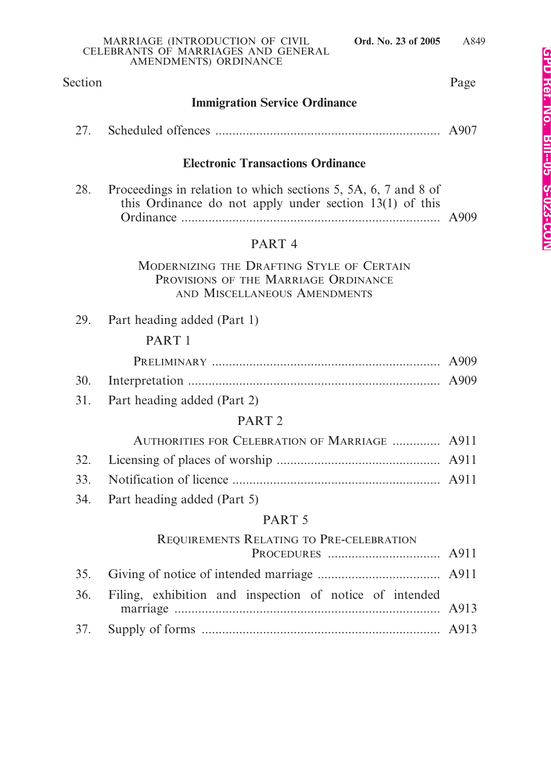### Section Page

### **Immigration Service Ordinance**

| 27. |  |  |  |
|-----|--|--|--|
|-----|--|--|--|

### **Electronic Transactions Ordinance**

| 28. | Proceedings in relation to which sections 5, 5A, 6, 7 and 8 of |  |
|-----|----------------------------------------------------------------|--|
|     | this Ordinance do not apply under section $13(1)$ of this      |  |
|     |                                                                |  |

### PART 4

MODERNIZING THE DRAFTING STYLE OF CERTAIN PROVISIONS OF THE MARRIAGE ORDINANCE AND MISCELLANEOUS AMENDMENTS

29. Part heading added (Part 1)

### PART 1

31. Part heading added (Part 2)

### PART 2

| AUTHORITIES FOR CELEBRATION OF MARRIAGE  A911 |  |
|-----------------------------------------------|--|
|                                               |  |

- 33. Notification of licence ............................................................. A911
- 34. Part heading added (Part 5)

### PART 5

### REQUIREMENTS RELATING TO PRE-CELEBRATION

| 36. Filing, exhibition and inspection of notice of intended |  |
|-------------------------------------------------------------|--|
|                                                             |  |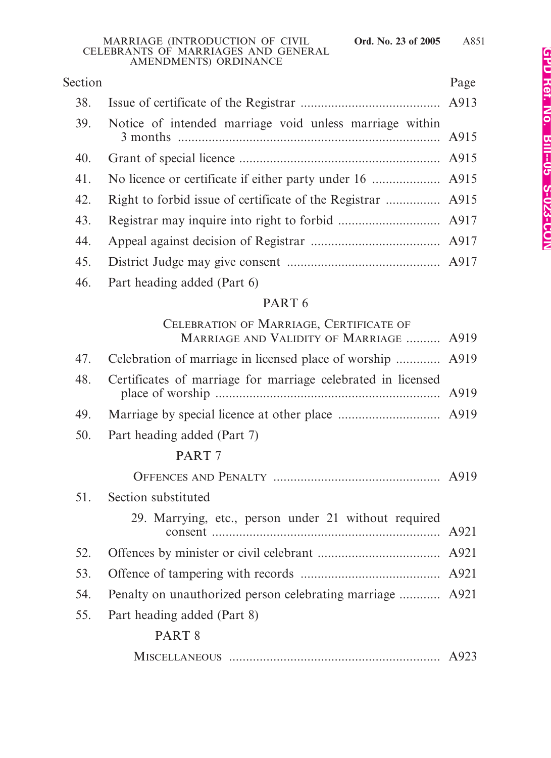| Section |                                                         | Page |
|---------|---------------------------------------------------------|------|
| 38.     |                                                         |      |
| 39.     | Notice of intended marriage void unless marriage within |      |
| 40.     |                                                         |      |
| 41.     |                                                         |      |
| 42.     |                                                         |      |
| 43.     |                                                         |      |
| 44.     |                                                         |      |
| 45.     |                                                         |      |
|         |                                                         |      |

46. Part heading added (Part 6)

# PART 6

|     | CELEBRATION OF MARRIAGE, CERTIFICATE OF<br>MARRIAGE AND VALIDITY OF MARRIAGE  A919 |      |
|-----|------------------------------------------------------------------------------------|------|
| 47. | Celebration of marriage in licensed place of worship  A919                         |      |
| 48. | Certificates of marriage for marriage celebrated in licensed                       | A919 |
| 49. |                                                                                    |      |
| 50. | Part heading added (Part 7)                                                        |      |
|     | PART <sub>7</sub>                                                                  |      |
|     |                                                                                    |      |
| 51. | Section substituted                                                                |      |
|     | 29. Marrying, etc., person under 21 without required                               |      |
| 52. |                                                                                    |      |
| 53. |                                                                                    |      |
| 54. | Penalty on unauthorized person celebrating marriage  A921                          |      |
| 55. | Part heading added (Part 8)                                                        |      |
|     | PART <sub>8</sub>                                                                  |      |
|     |                                                                                    |      |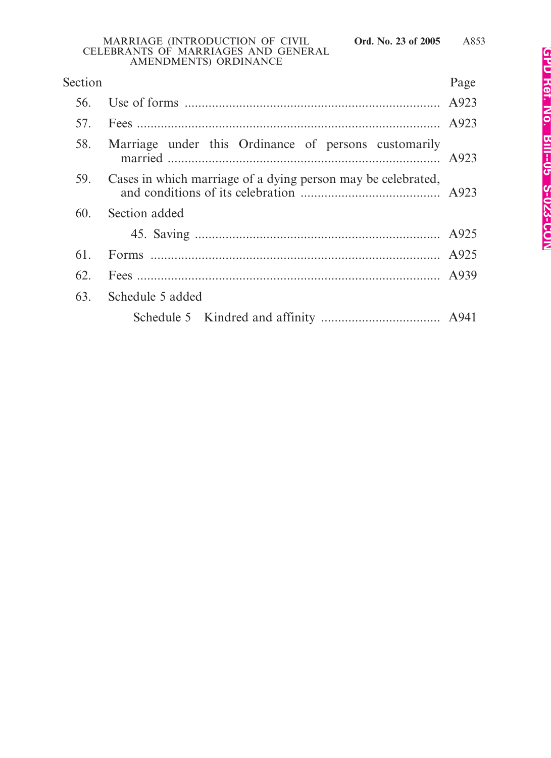| Section |                                                              | Page |
|---------|--------------------------------------------------------------|------|
| 56.     |                                                              |      |
|         |                                                              |      |
| 58.     | Marriage under this Ordinance of persons customarily         |      |
| 59.     | Cases in which marriage of a dying person may be celebrated, |      |
| 60.     | Section added                                                |      |
|         |                                                              |      |
| 61.     |                                                              |      |
| 62.     |                                                              |      |
| 63.     | Schedule 5 added                                             |      |
|         |                                                              |      |
|         |                                                              |      |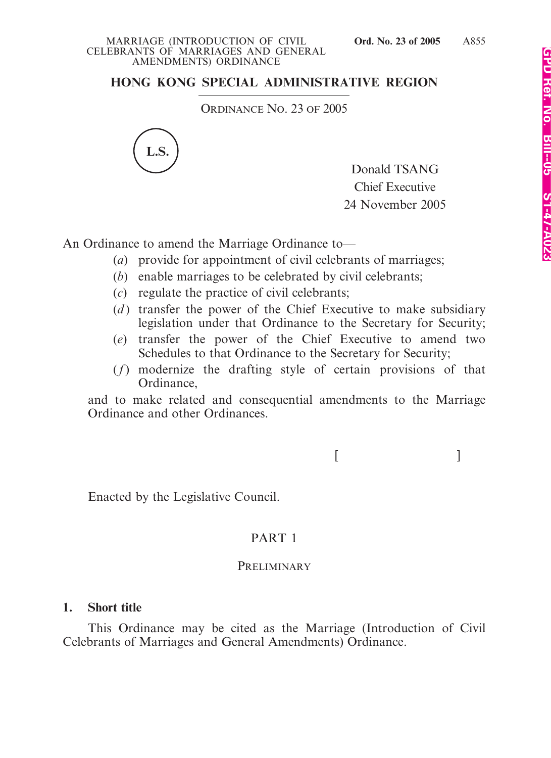# **HONG KONG SPECIAL ADMINISTRATIVE REGION**

ORDINANCE NO. 23 OF 2005



Donald TSANG Chief Executive 24 November 2005

An Ordinance to amend the Marriage Ordinance to—

- (*a*) provide for appointment of civil celebrants of marriages;
- (*b*) enable marriages to be celebrated by civil celebrants;
- (*c*) regulate the practice of civil celebrants;
- (*d*) transfer the power of the Chief Executive to make subsidiary legislation under that Ordinance to the Secretary for Security;
- (*e*) transfer the power of the Chief Executive to amend two Schedules to that Ordinance to the Secretary for Security;
- (*f*) modernize the drafting style of certain provisions of that Ordinance,

and to make related and consequential amendments to the Marriage Ordinance and other Ordinances.

 $[$   $]$ 

Enacted by the Legislative Council.

# PART 1

### **PRELIMINARY**

## **1. Short title**

This Ordinance may be cited as the Marriage (Introduction of Civil Celebrants of Marriages and General Amendments) Ordinance.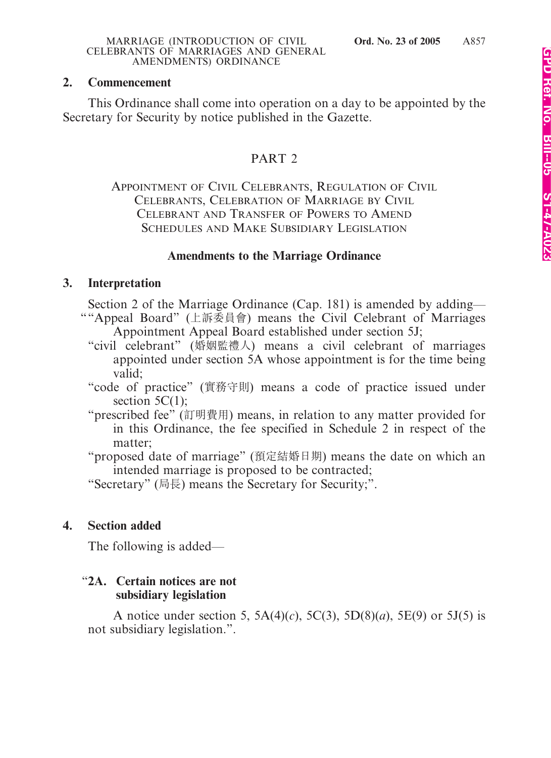# **2. Commencement**

This Ordinance shall come into operation on a day to be appointed by the Secretary for Security by notice published in the Gazette.

# PART 2

APPOINTMENT OF CIVIL CELEBRANTS, REGULATION OF CIVIL CELEBRANTS, CELEBRATION OF MARRIAGE BY CIVIL CELEBRANT AND TRANSFER OF POWERS TO AMEND SCHEDULES AND MAKE SUBSIDIARY LEGISLATION

### **Amendments to the Marriage Ordinance**

## **3. Interpretation**

Section 2 of the Marriage Ordinance (Cap. 181) is amended by adding— ""Appeal Board" (上訴委員會) means the Civil Celebrant of Marriages Appointment Appeal Board established under section 5J;

- "civil celebrant" (婚姻監禮人) means a civil celebrant of marriages appointed under section 5A whose appointment is for the time being valid;
- "code of practice" (實務守則) means a code of practice issued under section  $5C(1)$ ;
- "prescribed fee" (訂明費用) means, in relation to any matter provided for in this Ordinance, the fee specified in Schedule 2 in respect of the matter;
- "proposed date of marriage" (預定結婚日期) means the date on which an intended marriage is proposed to be contracted;

"Secretary" (局長) means the Secretary for Security;".

## **4. Section added**

The following is added—

### "**2A. Certain notices are not subsidiary legislation**

A notice under section 5, 5A(4)(*c*), 5C(3), 5D(8)(*a*), 5E(9) or 5J(5) is not subsidiary legislation.".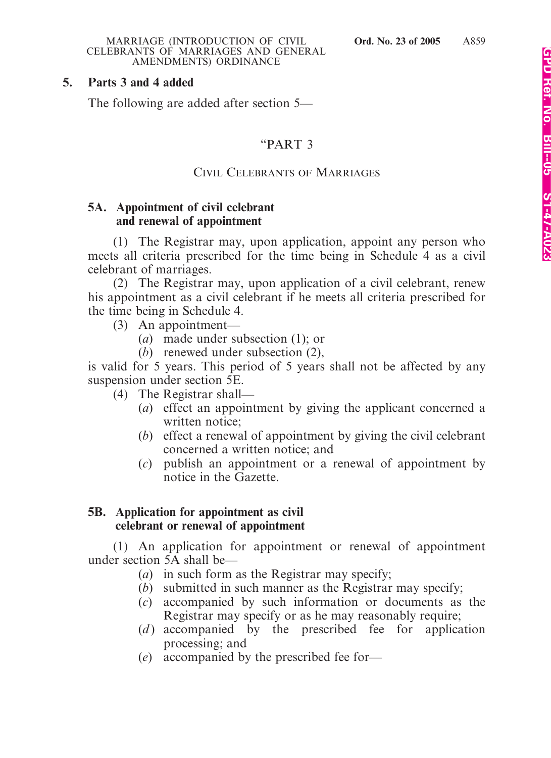### **5. Parts 3 and 4 added**

The following are added after section 5—

### "PART 3

### CIVIL CELEBRANTS OF MARRIAGES

### **5A. Appointment of civil celebrant and renewal of appointment**

(1) The Registrar may, upon application, appoint any person who meets all criteria prescribed for the time being in Schedule 4 as a civil celebrant of marriages.

(2) The Registrar may, upon application of a civil celebrant, renew his appointment as a civil celebrant if he meets all criteria prescribed for the time being in Schedule 4.

- (3) An appointment—
	- (*a*) made under subsection (1); or
	- (*b*) renewed under subsection (2),

is valid for 5 years. This period of 5 years shall not be affected by any suspension under section 5E.

- (4) The Registrar shall—
	- (*a*) effect an appointment by giving the applicant concerned a written notice;
	- (*b*) effect a renewal of appointment by giving the civil celebrant concerned a written notice; and
	- (*c*) publish an appointment or a renewal of appointment by notice in the Gazette.

### **5B. Application for appointment as civil celebrant or renewal of appointment**

(1) An application for appointment or renewal of appointment under section 5A shall be—

- (*a*) in such form as the Registrar may specify;
- (*b*) submitted in such manner as the Registrar may specify;
- (*c*) accompanied by such information or documents as the Registrar may specify or as he may reasonably require;
- (*d*) accompanied by the prescribed fee for application processing; and
- (*e*) accompanied by the prescribed fee for—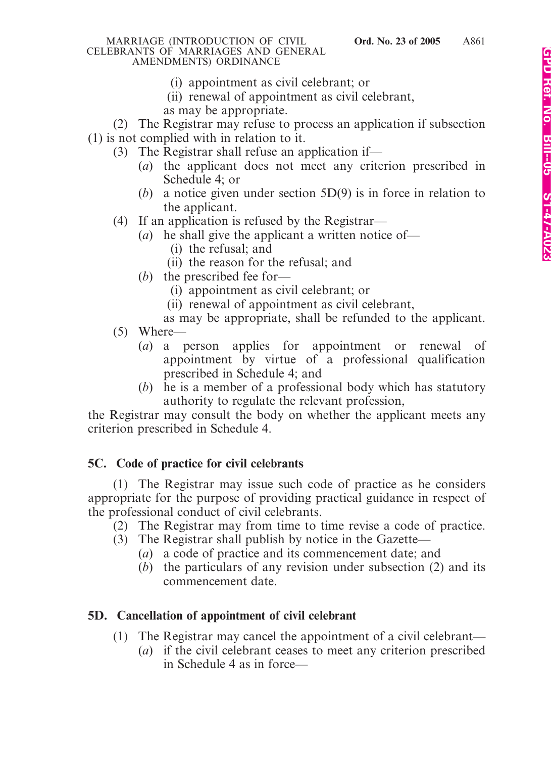- (i) appointment as civil celebrant; or
- (ii) renewal of appointment as civil celebrant,
- as may be appropriate.

(2) The Registrar may refuse to process an application if subsection (1) is not complied with in relation to it.

- (3) The Registrar shall refuse an application if—
	- (*a*) the applicant does not meet any criterion prescribed in Schedule 4; or
	- (*b*) a notice given under section 5D(9) is in force in relation to the applicant.
- (4) If an application is refused by the Registrar—
	- (*a*) he shall give the applicant a written notice of—
		- (i) the refusal; and
		- (ii) the reason for the refusal; and
	- (*b*) the prescribed fee for—
		- (i) appointment as civil celebrant; or
		- (ii) renewal of appointment as civil celebrant,
		- as may be appropriate, shall be refunded to the applicant.
- (5) Where—
	- (*a*) a person applies for appointment or renewal of appointment by virtue of a professional qualification prescribed in Schedule 4; and
	- (*b*) he is a member of a professional body which has statutory authority to regulate the relevant profession,

the Registrar may consult the body on whether the applicant meets any criterion prescribed in Schedule 4.

# **5C. Code of practice for civil celebrants**

(1) The Registrar may issue such code of practice as he considers appropriate for the purpose of providing practical guidance in respect of the professional conduct of civil celebrants.

(2) The Registrar may from time to time revise a code of practice.

- (3) The Registrar shall publish by notice in the Gazette—
	- (*a*) a code of practice and its commencement date; and
	- (*b*) the particulars of any revision under subsection (2) and its commencement date.

# **5D. Cancellation of appointment of civil celebrant**

- (1) The Registrar may cancel the appointment of a civil celebrant—
	- (*a*) if the civil celebrant ceases to meet any criterion prescribed in Schedule 4 as in force—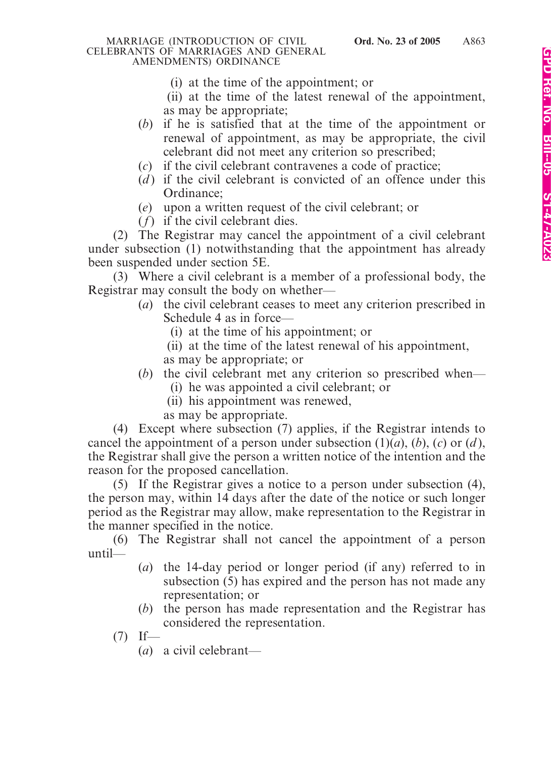- (i) at the time of the appointment; or
- (ii) at the time of the latest renewal of the appointment, as may be appropriate;
- (*b*) if he is satisfied that at the time of the appointment or renewal of appointment, as may be appropriate, the civil celebrant did not meet any criterion so prescribed;
- (*c*) if the civil celebrant contravenes a code of practice;
- (*d*) if the civil celebrant is convicted of an offence under this Ordinance;
- (*e*) upon a written request of the civil celebrant; or
- (*f*) if the civil celebrant dies.

(2) The Registrar may cancel the appointment of a civil celebrant under subsection (1) notwithstanding that the appointment has already been suspended under section 5E.

(3) Where a civil celebrant is a member of a professional body, the Registrar may consult the body on whether—

- (*a*) the civil celebrant ceases to meet any criterion prescribed in Schedule 4 as in force—
	- (i) at the time of his appointment; or
	- (ii) at the time of the latest renewal of his appointment,
	- as may be appropriate; or
- (*b*) the civil celebrant met any criterion so prescribed when—
	- (i) he was appointed a civil celebrant; or
	- (ii) his appointment was renewed,
	- as may be appropriate.

(4) Except where subsection (7) applies, if the Registrar intends to cancel the appointment of a person under subsection  $(1)(a)$ ,  $(b)$ ,  $(c)$  or  $(d)$ , the Registrar shall give the person a written notice of the intention and the reason for the proposed cancellation.

(5) If the Registrar gives a notice to a person under subsection (4), the person may, within 14 days after the date of the notice or such longer period as the Registrar may allow, make representation to the Registrar in the manner specified in the notice.

(6) The Registrar shall not cancel the appointment of a person until—

- (*a*) the 14-day period or longer period (if any) referred to in subsection (5) has expired and the person has not made any representation; or
- (*b*) the person has made representation and the Registrar has considered the representation.
- $(7)$  If—
	- (*a*) a civil celebrant—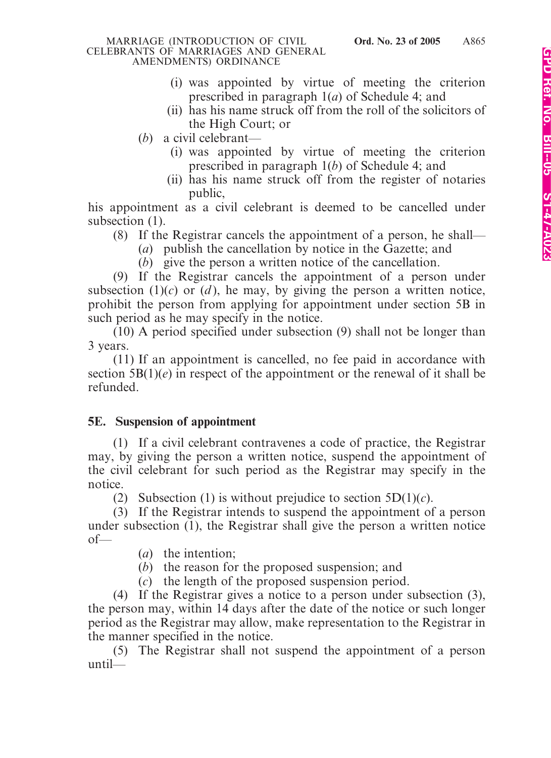- (i) was appointed by virtue of meeting the criterion prescribed in paragraph 1(*a*) of Schedule 4; and
- (ii) has his name struck off from the roll of the solicitors of the High Court; or
- (*b*) a civil celebrant—
	- (i) was appointed by virtue of meeting the criterion prescribed in paragraph 1(*b*) of Schedule 4; and
	- (ii) has his name struck off from the register of notaries public,

his appointment as a civil celebrant is deemed to be cancelled under subsection  $(1)$ .

- (8) If the Registrar cancels the appointment of a person, he shall—
	- (*a*) publish the cancellation by notice in the Gazette; and
	- (*b*) give the person a written notice of the cancellation.

(9) If the Registrar cancels the appointment of a person under subsection  $(1)(c)$  or  $(d)$ , he may, by giving the person a written notice, prohibit the person from applying for appointment under section 5B in such period as he may specify in the notice.

(10) A period specified under subsection (9) shall not be longer than 3 years.

(11) If an appointment is cancelled, no fee paid in accordance with section  $5B(1)(e)$  in respect of the appointment or the renewal of it shall be refunded.

## **5E. Suspension of appointment**

(1) If a civil celebrant contravenes a code of practice, the Registrar may, by giving the person a written notice, suspend the appointment of the civil celebrant for such period as the Registrar may specify in the notice.

(2) Subsection (1) is without prejudice to section  $5D(1)(c)$ .

(3) If the Registrar intends to suspend the appointment of a person under subsection (1), the Registrar shall give the person a written notice of—

- (*a*) the intention;
- (*b*) the reason for the proposed suspension; and
- (*c*) the length of the proposed suspension period.

(4) If the Registrar gives a notice to a person under subsection (3), the person may, within 14 days after the date of the notice or such longer period as the Registrar may allow, make representation to the Registrar in the manner specified in the notice.

(5) The Registrar shall not suspend the appointment of a person until—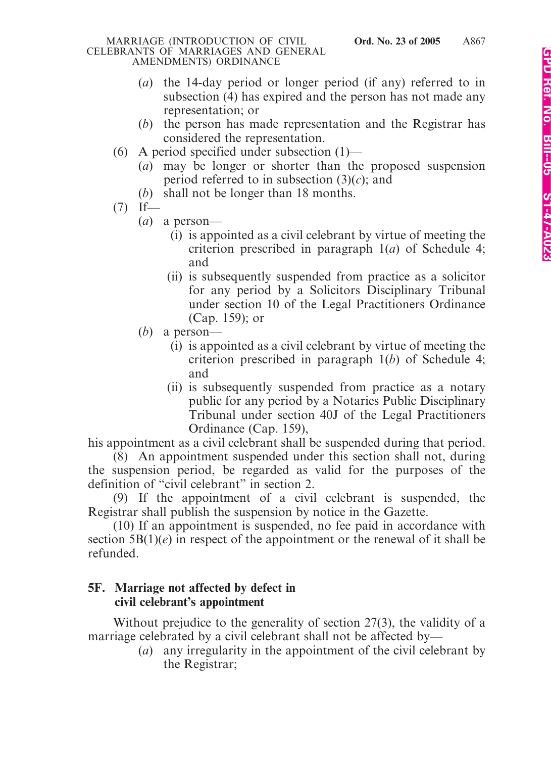- (*a*) the 14-day period or longer period (if any) referred to in subsection (4) has expired and the person has not made any representation; or
- (*b*) the person has made representation and the Registrar has considered the representation.
- (6) A period specified under subsection (1)—
	- (*a*) may be longer or shorter than the proposed suspension period referred to in subsection  $(3)(c)$ ; and
	- (*b*) shall not be longer than 18 months.
- $(7)$  If—
	- (*a*) a person—
		- (i) is appointed as a civil celebrant by virtue of meeting the criterion prescribed in paragraph 1(*a*) of Schedule 4; and
		- (ii) is subsequently suspended from practice as a solicitor for any period by a Solicitors Disciplinary Tribunal under section 10 of the Legal Practitioners Ordinance (Cap. 159); or
	- (*b*) a person—
		- (i) is appointed as a civil celebrant by virtue of meeting the criterion prescribed in paragraph 1(*b*) of Schedule 4; and
		- (ii) is subsequently suspended from practice as a notary public for any period by a Notaries Public Disciplinary Tribunal under section 40J of the Legal Practitioners Ordinance (Cap. 159),

his appointment as a civil celebrant shall be suspended during that period.

(8) An appointment suspended under this section shall not, during the suspension period, be regarded as valid for the purposes of the definition of "civil celebrant" in section 2.

(9) If the appointment of a civil celebrant is suspended, the Registrar shall publish the suspension by notice in the Gazette.

(10) If an appointment is suspended, no fee paid in accordance with section  $5B(1)(e)$  in respect of the appointment or the renewal of it shall be refunded.

## **5F. Marriage not affected by defect in civil celebrant's appointment**

Without prejudice to the generality of section 27(3), the validity of a marriage celebrated by a civil celebrant shall not be affected by—

(*a*) any irregularity in the appointment of the civil celebrant by the Registrar;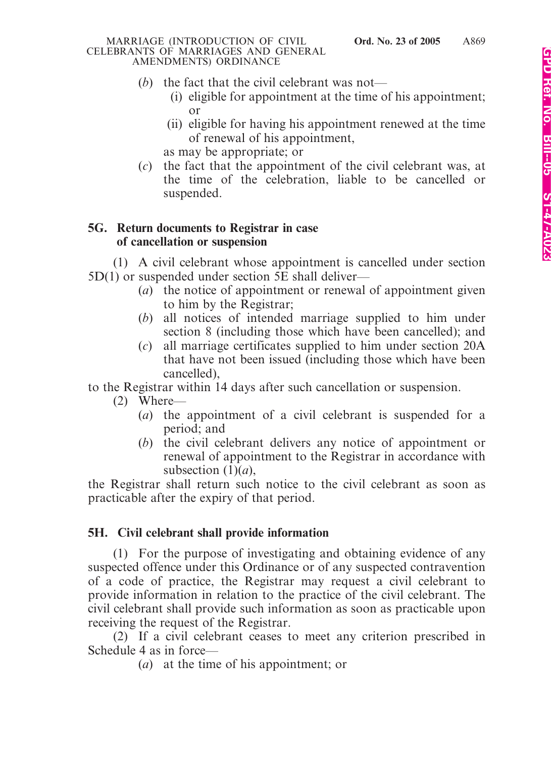- (*b*) the fact that the civil celebrant was not—
	- (i) eligible for appointment at the time of his appointment; or
	- (ii) eligible for having his appointment renewed at the time of renewal of his appointment, as may be appropriate; or
- (*c*) the fact that the appointment of the civil celebrant was, at the time of the celebration, liable to be cancelled or suspended.

# **5G. Return documents to Registrar in case of cancellation or suspension**

(1) A civil celebrant whose appointment is cancelled under section 5D(1) or suspended under section 5E shall deliver—

- (*a*) the notice of appointment or renewal of appointment given to him by the Registrar;
- (*b*) all notices of intended marriage supplied to him under section 8 (including those which have been cancelled); and
- (*c*) all marriage certificates supplied to him under section 20A that have not been issued (including those which have been cancelled),

to the Registrar within 14 days after such cancellation or suspension.

- (2) Where—
	- (*a*) the appointment of a civil celebrant is suspended for a period; and
	- (*b*) the civil celebrant delivers any notice of appointment or renewal of appointment to the Registrar in accordance with subsection  $(1)(a)$ ,

the Registrar shall return such notice to the civil celebrant as soon as practicable after the expiry of that period.

# **5H. Civil celebrant shall provide information**

(1) For the purpose of investigating and obtaining evidence of any suspected offence under this Ordinance or of any suspected contravention of a code of practice, the Registrar may request a civil celebrant to provide information in relation to the practice of the civil celebrant. The civil celebrant shall provide such information as soon as practicable upon receiving the request of the Registrar.

(2) If a civil celebrant ceases to meet any criterion prescribed in Schedule 4 as in force—

(*a*) at the time of his appointment; or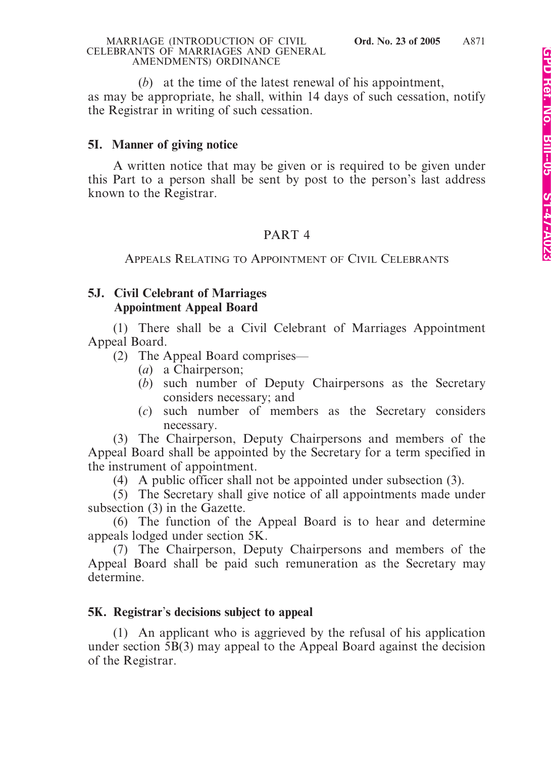(*b*) at the time of the latest renewal of his appointment, as may be appropriate, he shall, within 14 days of such cessation, notify the Registrar in writing of such cessation.

# **5I. Manner of giving notice**

A written notice that may be given or is required to be given under this Part to a person shall be sent by post to the person's last address known to the Registrar.

# PART 4

# APPEALS RELATING TO APPOINTMENT OF CIVIL CELEBRANTS

# **5J. Civil Celebrant of Marriages Appointment Appeal Board**

(1) There shall be a Civil Celebrant of Marriages Appointment Appeal Board.

(2) The Appeal Board comprises—

- (*a*) a Chairperson;
- (*b*) such number of Deputy Chairpersons as the Secretary considers necessary; and
- (*c*) such number of members as the Secretary considers necessary.

(3) The Chairperson, Deputy Chairpersons and members of the Appeal Board shall be appointed by the Secretary for a term specified in the instrument of appointment.

(4) A public officer shall not be appointed under subsection (3).

(5) The Secretary shall give notice of all appointments made under subsection (3) in the Gazette.

(6) The function of the Appeal Board is to hear and determine appeals lodged under section 5K.

(7) The Chairperson, Deputy Chairpersons and members of the Appeal Board shall be paid such remuneration as the Secretary may determine.

# **5K. Registrar**'**s decisions subject to appeal**

(1) An applicant who is aggrieved by the refusal of his application under section 5B(3) may appeal to the Appeal Board against the decision of the Registrar.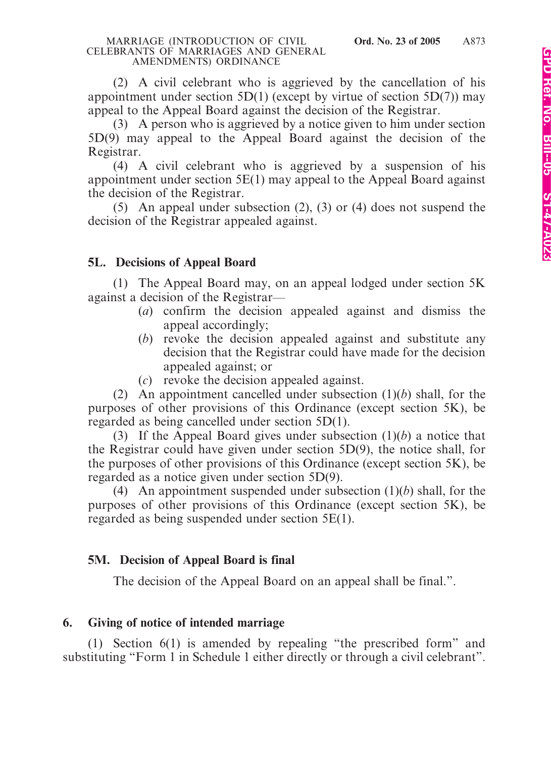(2) A civil celebrant who is aggrieved by the cancellation of his appointment under section 5D(1) (except by virtue of section 5D(7)) may appeal to the Appeal Board against the decision of the Registrar.

(3) A person who is aggrieved by a notice given to him under section 5D(9) may appeal to the Appeal Board against the decision of the Registrar.

(4) A civil celebrant who is aggrieved by a suspension of his appointment under section 5E(1) may appeal to the Appeal Board against the decision of the Registrar.

(5) An appeal under subsection (2), (3) or (4) does not suspend the decision of the Registrar appealed against.

# **5L. Decisions of Appeal Board**

(1) The Appeal Board may, on an appeal lodged under section 5K against a decision of the Registrar—

- (*a*) confirm the decision appealed against and dismiss the appeal accordingly;
- (*b*) revoke the decision appealed against and substitute any decision that the Registrar could have made for the decision appealed against; or
- (*c*) revoke the decision appealed against.

(2) An appointment cancelled under subsection (1)(*b*) shall, for the purposes of other provisions of this Ordinance (except section 5K), be regarded as being cancelled under section 5D(1).

(3) If the Appeal Board gives under subsection (1)(*b*) a notice that the Registrar could have given under section 5D(9), the notice shall, for the purposes of other provisions of this Ordinance (except section 5K), be regarded as a notice given under section 5D(9).

(4) An appointment suspended under subsection (1)(*b*) shall, for the purposes of other provisions of this Ordinance (except section 5K), be regarded as being suspended under section 5E(1).

# **5M. Decision of Appeal Board is final**

The decision of the Appeal Board on an appeal shall be final.".

## **6. Giving of notice of intended marriage**

(1) Section 6(1) is amended by repealing "the prescribed form" and substituting "Form 1 in Schedule 1 either directly or through a civil celebrant".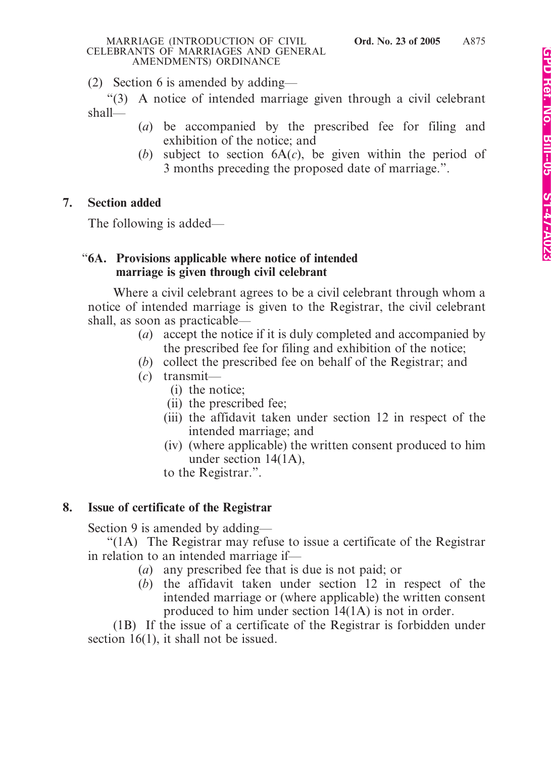(2) Section 6 is amended by adding—

"(3) A notice of intended marriage given through a civil celebrant shall—

- (*a*) be accompanied by the prescribed fee for filing and exhibition of the notice; and
- (*b*) subject to section 6A(*c*), be given within the period of 3 months preceding the proposed date of marriage.".

# **7. Section added**

The following is added—

# "**6A. Provisions applicable where notice of intended marriage is given through civil celebrant**

Where a civil celebrant agrees to be a civil celebrant through whom a notice of intended marriage is given to the Registrar, the civil celebrant shall, as soon as practicable—

- (*a*) accept the notice if it is duly completed and accompanied by the prescribed fee for filing and exhibition of the notice;
- (*b*) collect the prescribed fee on behalf of the Registrar; and
- (*c*) transmit—
	- (i) the notice;
	- (ii) the prescribed fee;
	- (iii) the affidavit taken under section 12 in respect of the intended marriage; and
	- (iv) (where applicable) the written consent produced to him under section 14(1A),
	- to the Registrar.".

# **8. Issue of certificate of the Registrar**

Section 9 is amended by adding—

"(1A) The Registrar may refuse to issue a certificate of the Registrar in relation to an intended marriage if—

- (*a*) any prescribed fee that is due is not paid; or
- (*b*) the affidavit taken under section 12 in respect of the intended marriage or (where applicable) the written consent produced to him under section 14(1A) is not in order.

(1B) If the issue of a certificate of the Registrar is forbidden under section 16(1), it shall not be issued.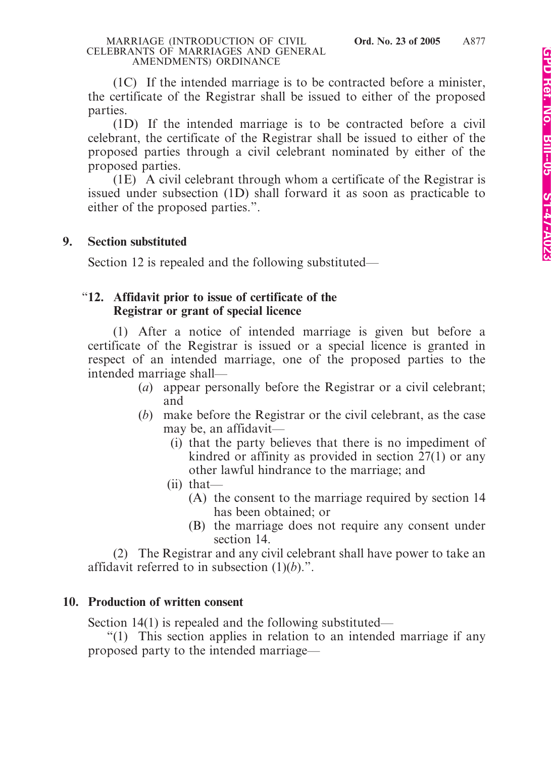(1C) If the intended marriage is to be contracted before a minister, the certificate of the Registrar shall be issued to either of the proposed parties.

(1D) If the intended marriage is to be contracted before a civil celebrant, the certificate of the Registrar shall be issued to either of the proposed parties through a civil celebrant nominated by either of the proposed parties.

(1E) A civil celebrant through whom a certificate of the Registrar is issued under subsection (1D) shall forward it as soon as practicable to either of the proposed parties.".

### **9. Section substituted**

Section 12 is repealed and the following substituted—

### "**12. Affidavit prior to issue of certificate of the Registrar or grant of special licence**

(1) After a notice of intended marriage is given but before a certificate of the Registrar is issued or a special licence is granted in respect of an intended marriage, one of the proposed parties to the intended marriage shall—

- (*a*) appear personally before the Registrar or a civil celebrant; and
- (*b*) make before the Registrar or the civil celebrant, as the case may be, an affidavit—
	- (i) that the party believes that there is no impediment of kindred or affinity as provided in section 27(1) or any other lawful hindrance to the marriage; and
	- (ii) that—
		- (A) the consent to the marriage required by section 14 has been obtained; or
		- (B) the marriage does not require any consent under section 14.

(2) The Registrar and any civil celebrant shall have power to take an affidavit referred to in subsection (1)(*b*).".

## **10. Production of written consent**

Section 14(1) is repealed and the following substituted—

"(1) This section applies in relation to an intended marriage if any proposed party to the intended marriage—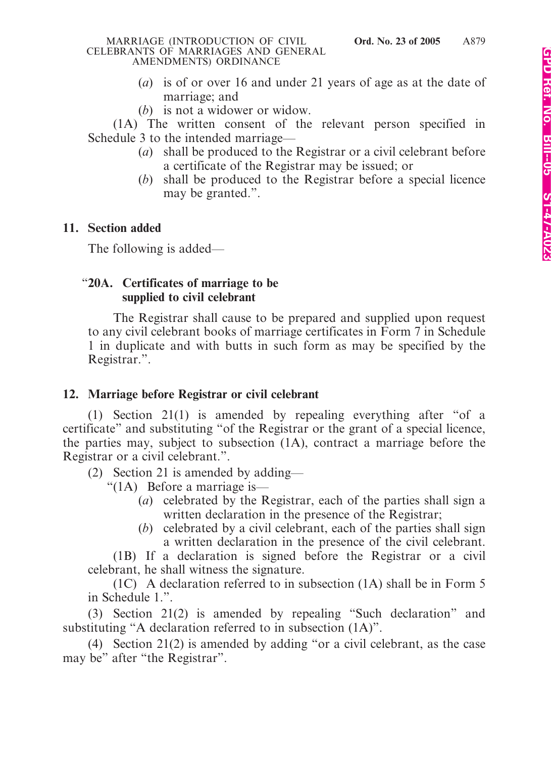- (*a*) is of or over 16 and under 21 years of age as at the date of marriage; and
- (*b*) is not a widower or widow.

(1A) The written consent of the relevant person specified in Schedule 3 to the intended marriage—

- (*a*) shall be produced to the Registrar or a civil celebrant before a certificate of the Registrar may be issued; or
- (*b*) shall be produced to the Registrar before a special licence may be granted.".

## **11. Section added**

The following is added—

# "**20A. Certificates of marriage to be supplied to civil celebrant**

The Registrar shall cause to be prepared and supplied upon request to any civil celebrant books of marriage certificates in Form 7 in Schedule 1 in duplicate and with butts in such form as may be specified by the Registrar.".

## **12. Marriage before Registrar or civil celebrant**

(1) Section 21(1) is amended by repealing everything after "of a certificate" and substituting "of the Registrar or the grant of a special licence, the parties may, subject to subsection (1A), contract a marriage before the Registrar or a civil celebrant.".

(2) Section 21 is amended by adding—

"(1A) Before a marriage is—

- (*a*) celebrated by the Registrar, each of the parties shall sign a written declaration in the presence of the Registrar;
- (*b*) celebrated by a civil celebrant, each of the parties shall sign a written declaration in the presence of the civil celebrant.

(1B) If a declaration is signed before the Registrar or a civil celebrant, he shall witness the signature.

(1C) A declaration referred to in subsection (1A) shall be in Form 5 in Schedule 1.".

(3) Section 21(2) is amended by repealing "Such declaration" and substituting "A declaration referred to in subsection (1A)".

(4) Section 21(2) is amended by adding "or a civil celebrant, as the case may be" after "the Registrar".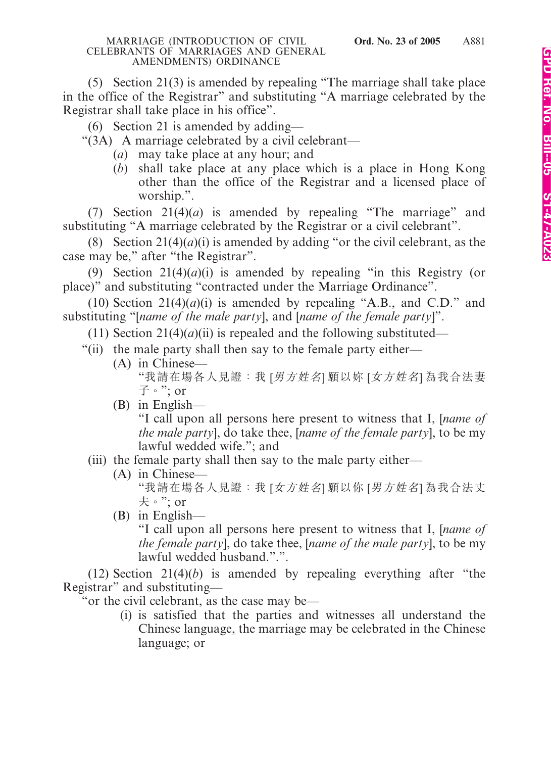(5) Section 21(3) is amended by repealing "The marriage shall take place in the office of the Registrar" and substituting "A marriage celebrated by the Registrar shall take place in his office".

(6) Section 21 is amended by adding—

"(3A) A marriage celebrated by a civil celebrant—

- (*a*) may take place at any hour; and
- (*b*) shall take place at any place which is a place in Hong Kong other than the office of the Registrar and a licensed place of worship.".

(7) Section 21(4)(*a*) is amended by repealing "The marriage" and substituting "A marriage celebrated by the Registrar or a civil celebrant".

(8) Section  $21(4)(a)(i)$  is amended by adding "or the civil celebrant, as the case may be," after "the Registrar".

(9) Section  $21(4)(a)(i)$  is amended by repealing "in this Registry (or place)" and substituting "contracted under the Marriage Ordinance".

(10) Section  $21(4)(a)(i)$  is amended by repealing "A.B., and C.D." and substituting "[*name of the male party*], and [*name of the female party*]".

(11) Section 21(4)(*a*)(ii) is repealed and the following substituted—

- "(ii) the male party shall then say to the female party either—
	- (A) in Chinese—

"我請在場各人見證:我 [男方姓名] 願以妳 [女方姓名] 為我合法妻  $\vec{\mathrm{f}}$   $\cdot$  ": or

(B) in English—

"I call upon all persons here present to witness that I, [*name of the male party*], do take thee, [*name of the female party*], to be my lawful wedded wife."; and

# (iii) the female party shall then say to the male party either—

- (A) in Chinese— "我請在場各人見證:我 [女方姓名] 願以你 [男方姓名] 為我合法丈 夫。"; or
- (B) in English—

"I call upon all persons here present to witness that I, [*name of the female party*], do take thee, [*name of the male party*], to be my lawful wedded husband.".".

(12) Section 21(4)(*b*) is amended by repealing everything after "the Registrar" and substituting—

"or the civil celebrant, as the case may be—

(i) is satisfied that the parties and witnesses all understand the Chinese language, the marriage may be celebrated in the Chinese language; or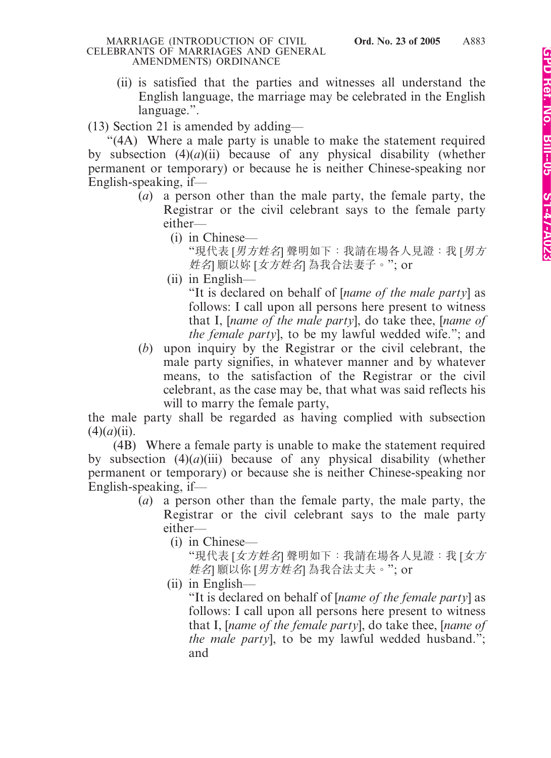(ii) is satisfied that the parties and witnesses all understand the English language, the marriage may be celebrated in the English language.".

(13) Section 21 is amended by adding—

"(4A) Where a male party is unable to make the statement required by subsection  $(4)(a)(ii)$  because of any physical disability (whether permanent or temporary) or because he is neither Chinese-speaking nor English-speaking, if—

- (*a*) a person other than the male party, the female party, the Registrar or the civil celebrant says to the female party either—
	- (i) in Chinese—

"現代表 [*男方姓名*] 聲明如下: 我請在場各人見證: 我 [*男方* 姓名] 願以妳 [女方姓名] 為我合法妻子。"; or

(ii) in English—

"It is declared on behalf of [*name of the male party*] as follows: I call upon all persons here present to witness that I, [*name of the male party*], do take thee, [*name of the female party*], to be my lawful wedded wife."; and

(*b*) upon inquiry by the Registrar or the civil celebrant, the male party signifies, in whatever manner and by whatever means, to the satisfaction of the Registrar or the civil celebrant, as the case may be, that what was said reflects his will to marry the female party,

the male party shall be regarded as having complied with subsection  $(4)(a)(ii)$ .

(4B) Where a female party is unable to make the statement required by subsection (4)(*a*)(iii) because of any physical disability (whether permanent or temporary) or because she is neither Chinese-speaking nor English-speaking, if—

- (*a*) a person other than the female party, the male party, the Registrar or the civil celebrant says to the male party either—
	- (i) in Chinese—

"現代表 [女方姓名] 聲明如下:我請在場各人見證:我 [女方 姓名 願以你 [男方姓名] 為我合法丈夫。"; or

(ii) in English—

"It is declared on behalf of [*name of the female party*] as follows: I call upon all persons here present to witness that I, [*name of the female party*], do take thee, [*name of the male party*], to be my lawful wedded husband."; and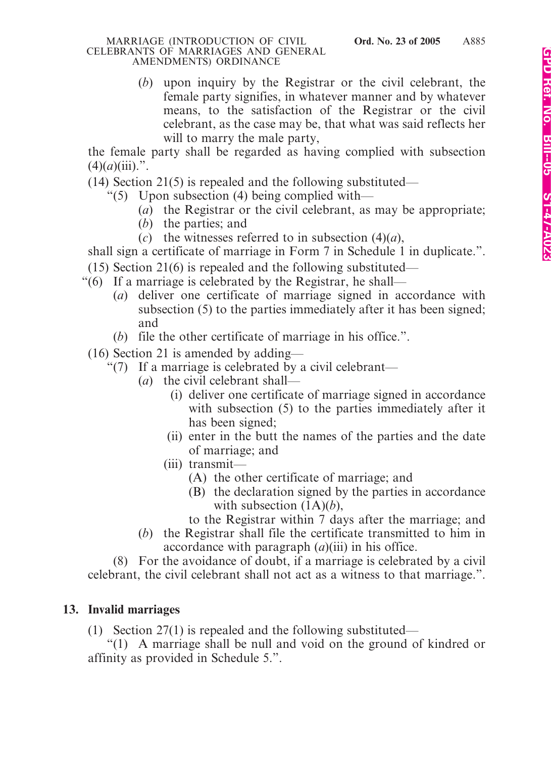(*b*) upon inquiry by the Registrar or the civil celebrant, the female party signifies, in whatever manner and by whatever means, to the satisfaction of the Registrar or the civil celebrant, as the case may be, that what was said reflects her will to marry the male party,

the female party shall be regarded as having complied with subsection  $(4)(a)(iii)$ .".

- $(14)$  Section 21(5) is repealed and the following substituted—
	- "(5) Upon subsection (4) being complied with—
		- (*a*) the Registrar or the civil celebrant, as may be appropriate;
		- (*b*) the parties; and
		- (*c*) the witnesses referred to in subsection  $(4)(a)$ ,

shall sign a certificate of marriage in Form 7 in Schedule 1 in duplicate.".

- (15) Section 21(6) is repealed and the following substituted—
- "(6) If a marriage is celebrated by the Registrar, he shall—
	- (*a*) deliver one certificate of marriage signed in accordance with subsection (5) to the parties immediately after it has been signed; and
	- (*b*) file the other certificate of marriage in his office.".
- (16) Section 21 is amended by adding—
	- "(7) If a marriage is celebrated by a civil celebrant—
		- (*a*) the civil celebrant shall—
			- (i) deliver one certificate of marriage signed in accordance with subsection (5) to the parties immediately after it has been signed;
			- (ii) enter in the butt the names of the parties and the date of marriage; and
			- (iii) transmit—
				- (A) the other certificate of marriage; and
				- (B) the declaration signed by the parties in accordance with subsection (1A)(*b*),
				- to the Registrar within 7 days after the marriage; and
		- (*b*) the Registrar shall file the certificate transmitted to him in accordance with paragraph (*a*)(iii) in his office.

(8) For the avoidance of doubt, if a marriage is celebrated by a civil celebrant, the civil celebrant shall not act as a witness to that marriage.".

# **13. Invalid marriages**

(1) Section 27(1) is repealed and the following substituted—

"(1) A marriage shall be null and void on the ground of kindred or affinity as provided in Schedule 5.".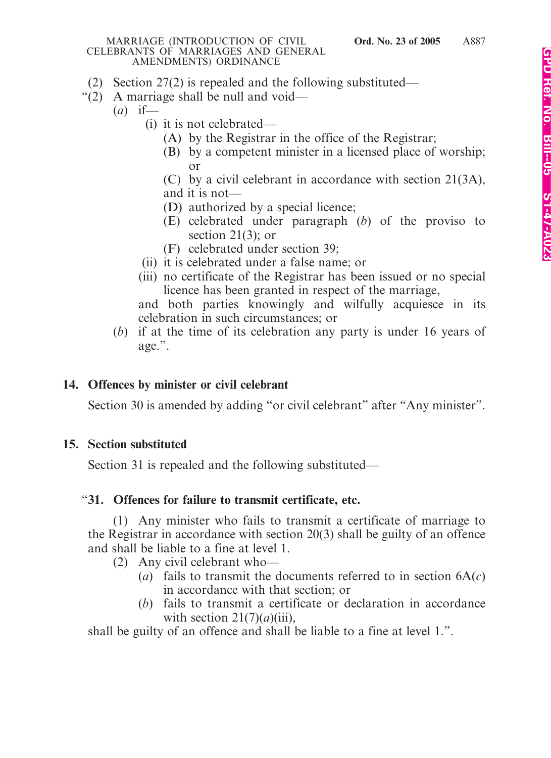- (2) Section 27(2) is repealed and the following substituted—
- "(2) A marriage shall be null and void—
	- (*a*) if—
		- (i) it is not celebrated—
			- (A) by the Registrar in the office of the Registrar;
			- (B) by a competent minister in a licensed place of worship; or
			- (C) by a civil celebrant in accordance with section 21(3A), and it is not—
			- (D) authorized by a special licence;
			- (E) celebrated under paragraph (*b*) of the proviso to section  $21(3)$ ; or
			- (F) celebrated under section 39;
		- (ii) it is celebrated under a false name; or
		- (iii) no certificate of the Registrar has been issued or no special licence has been granted in respect of the marriage,

and both parties knowingly and wilfully acquiesce in its celebration in such circumstances; or

(*b*) if at the time of its celebration any party is under 16 years of age.".

# **14. Offences by minister or civil celebrant**

Section 30 is amended by adding "or civil celebrant" after "Any minister".

# **15. Section substituted**

Section 31 is repealed and the following substituted—

# "**31. Offences for failure to transmit certificate, etc.**

(1) Any minister who fails to transmit a certificate of marriage to the Registrar in accordance with section 20(3) shall be guilty of an offence and shall be liable to a fine at level 1.

- (2) Any civil celebrant who—
	- (*a*) fails to transmit the documents referred to in section 6A(*c*) in accordance with that section; or
	- (*b*) fails to transmit a certificate or declaration in accordance with section  $21(7)(a)(iii)$ ,

shall be guilty of an offence and shall be liable to a fine at level 1.".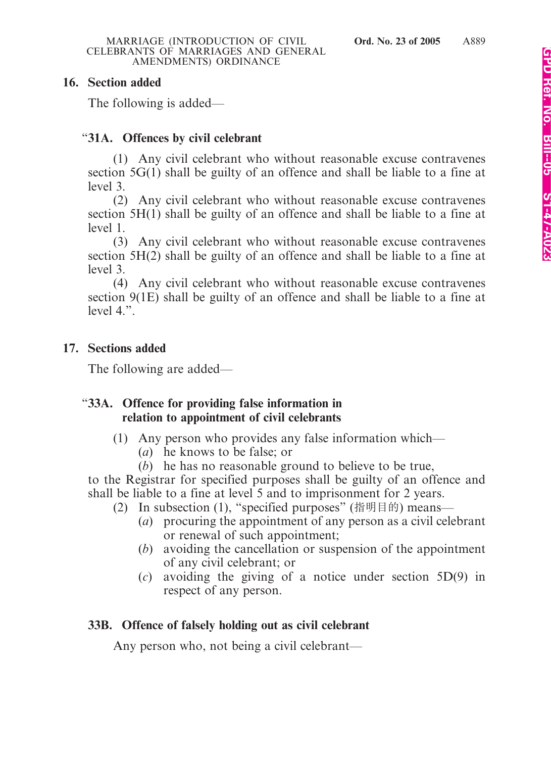### **16. Section added**

The following is added—

# "**31A. Offences by civil celebrant**

(1) Any civil celebrant who without reasonable excuse contravenes section 5G(1) shall be guilty of an offence and shall be liable to a fine at level 3.

(2) Any civil celebrant who without reasonable excuse contravenes section 5H(1) shall be guilty of an offence and shall be liable to a fine at level 1.

(3) Any civil celebrant who without reasonable excuse contravenes section 5H(2) shall be guilty of an offence and shall be liable to a fine at level 3.

(4) Any civil celebrant who without reasonable excuse contravenes section 9(1E) shall be guilty of an offence and shall be liable to a fine at level 4.".

## **17. Sections added**

The following are added—

### "**33A. Offence for providing false information in relation to appointment of civil celebrants**

- (1) Any person who provides any false information which—
	- (*a*) he knows to be false; or
	- (*b*) he has no reasonable ground to believe to be true,

to the Registrar for specified purposes shall be guilty of an offence and shall be liable to a fine at level 5 and to imprisonment for 2 years.

- (2) In subsection (1), "specified purposes" (指明目的) means—
	- (*a*) procuring the appointment of any person as a civil celebrant or renewal of such appointment;
	- (*b*) avoiding the cancellation or suspension of the appointment of any civil celebrant; or
	- (*c*) avoiding the giving of a notice under section 5D(9) in respect of any person.

## **33B. Offence of falsely holding out as civil celebrant**

Any person who, not being a civil celebrant—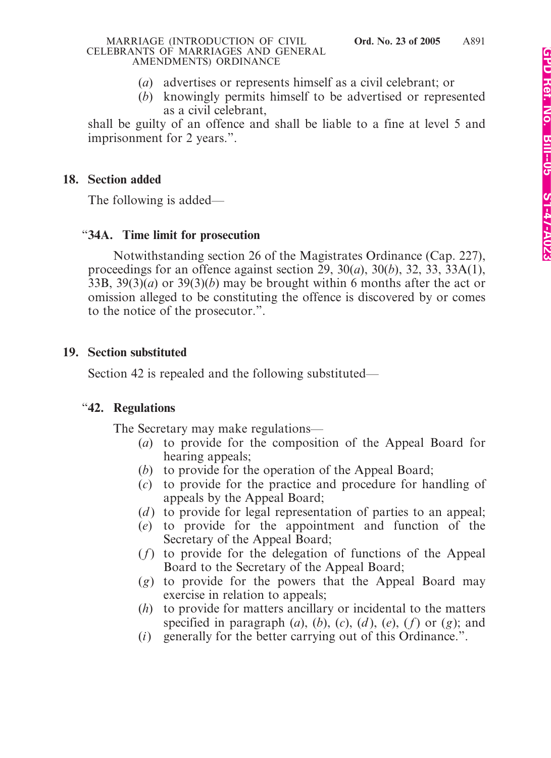- (*a*) advertises or represents himself as a civil celebrant; or
- (*b*) knowingly permits himself to be advertised or represented as a civil celebrant,

shall be guilty of an offence and shall be liable to a fine at level 5 and imprisonment for 2 years.".

### **18. Section added**

The following is added—

### "**34A. Time limit for prosecution**

Notwithstanding section 26 of the Magistrates Ordinance (Cap. 227), proceedings for an offence against section 29, 30(*a*), 30(*b*), 32, 33, 33A(1), 33B, 39(3)(*a*) or 39(3)(*b*) may be brought within 6 months after the act or omission alleged to be constituting the offence is discovered by or comes to the notice of the prosecutor.".

### **19. Section substituted**

Section 42 is repealed and the following substituted—

## "**42. Regulations**

The Secretary may make regulations—

- (*a*) to provide for the composition of the Appeal Board for hearing appeals;
- (*b*) to provide for the operation of the Appeal Board;
- (*c*) to provide for the practice and procedure for handling of appeals by the Appeal Board;
- (*d*) to provide for legal representation of parties to an appeal;
- (*e*) to provide for the appointment and function of the Secretary of the Appeal Board;
- (*f*) to provide for the delegation of functions of the Appeal Board to the Secretary of the Appeal Board;
- (*g*) to provide for the powers that the Appeal Board may exercise in relation to appeals;
- (*h*) to provide for matters ancillary or incidental to the matters specified in paragraph  $(a)$ ,  $(b)$ ,  $(c)$ ,  $(d)$ ,  $(e)$ ,  $(f)$  or  $(g)$ ; and
- (*i*) generally for the better carrying out of this Ordinance.".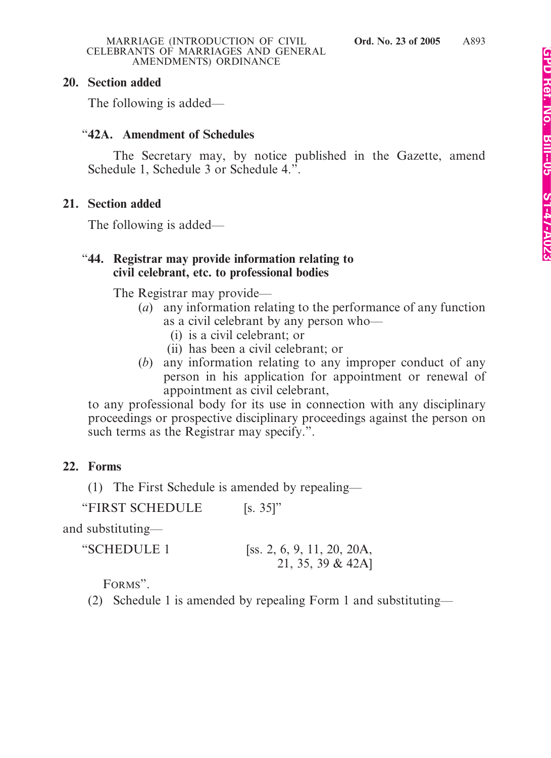### **20. Section added**

The following is added—

### "**42A. Amendment of Schedules**

The Secretary may, by notice published in the Gazette, amend Schedule 1, Schedule 3 or Schedule 4.".

### **21. Section added**

The following is added—

### "**44. Registrar may provide information relating to civil celebrant, etc. to professional bodies**

The Registrar may provide—

- (*a*) any information relating to the performance of any function as a civil celebrant by any person who—
	- (i) is a civil celebrant; or
	- (ii) has been a civil celebrant; or
- (*b*) any information relating to any improper conduct of any person in his application for appointment or renewal of appointment as civil celebrant,

to any professional body for its use in connection with any disciplinary proceedings or prospective disciplinary proceedings against the person on such terms as the Registrar may specify.".

## **22. Forms**

(1) The First Schedule is amended by repealing—

"FIRST SCHEDULE [s. 35]"

and substituting—

| "SCHEDULE 1 | [ss. 2, 6, 9, 11, 20, 20A, |
|-------------|----------------------------|
|             | 21, 35, 39 & 42A]          |

FORMS".

(2) Schedule 1 is amended by repealing Form 1 and substituting—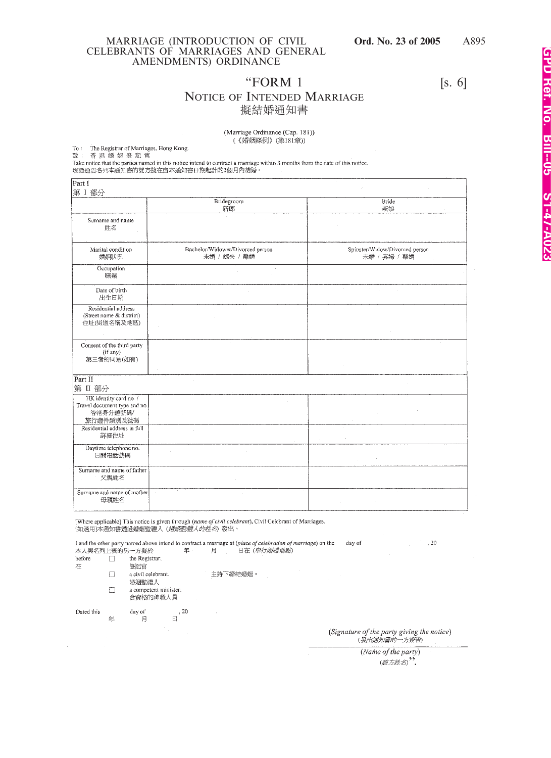#### A895

### MARRIAGE (INTRODUCTION OF CIVIL **Ord. No. 23 of 2005** CELEBRANTS OF MARRIAGES AND GENERAL AMENDMENTS) ORDINANCE

### "FORM  $1$  [s. 6] NOTICE OF INTENDED MARRIAGE 擬結婚通知書

(Marriage Ordinance (Cap. 181)) (《婚姻條例》(第181章))

To : The Registrar of Marriages, Hong Kong.<br>致 : 香 港 婚 姻 登 記 官<br>Take notice that the parties named in this notice intend to contract a marriage within 3 months from the date of this notice.<br>現謹通告名列本通知書的雙方擬在自本通知書日期起計的3個月內結婚。

| Part I<br>第 I 部分                                                                |                                                  |                                                |  |
|---------------------------------------------------------------------------------|--------------------------------------------------|------------------------------------------------|--|
|                                                                                 | Bridegroom<br>新郎                                 | Bride<br>新娘                                    |  |
| Surname and name<br>姓名                                                          |                                                  |                                                |  |
| Marital condition<br>婚姻状况                                                       | Bachelor/Widower/Divorced person<br>未婚 / 鰥夫 / 離婚 | Spinster/Widow/Divorced person<br>未婚 / 寡婦 / 離婚 |  |
| Occupation<br>職業                                                                | $\sim$                                           |                                                |  |
| Date of birth<br>出生日期                                                           |                                                  |                                                |  |
| Residential address<br>(Street name & district)<br>住址(街道名稱及地區)                  |                                                  |                                                |  |
| Consent of the third party<br>(if any)<br>第三者的同意(如有)                            |                                                  |                                                |  |
| Part II<br>第 II 部分                                                              |                                                  |                                                |  |
| HK identity card no. /<br>Travel document type and no.<br>香港身分證號碼/<br>旅行證件類別及號碼 |                                                  |                                                |  |
| Residential address in full<br>詳細住址                                             |                                                  | $\sim$                                         |  |
| Daytime telephone no.<br>日間電話號碼                                                 |                                                  |                                                |  |
| Surname and name of father<br>父親姓名                                              |                                                  |                                                |  |
| Sumame and name of mother<br>母親姓名                                               | $\sim$                                           | $\sim$                                         |  |

[Where applicable] This notice is given through (name of civil celebrant), Civil Celebrant of Marriages.<br>[如適用]本通知書透過婚姻監禮人 (*婚姻監禮人的姓名*) 發出。

I and the other party named above intend to contract a marriage at (place of celebration of marriage) on the  $, 20$ day of 本人與名列上表的另一方擬於 日在 (學行婚禮地點) 年 月

before the Registrar.  $\Box$ 

在 登記官  $\Box$ 

a civil celebrant. 主持下締結婚姻。

 $\bar{z}$ 

婚姻監禮人

a competent minister.  $\Box$ 合資格的神職人員

 $\overline{\mathbb{B}}$ , 20 Dated this day of 年 月

(Signature of the party giving the notice)<br>(發出通知書的一方簽署)

(Name of the party) (該方姓名)".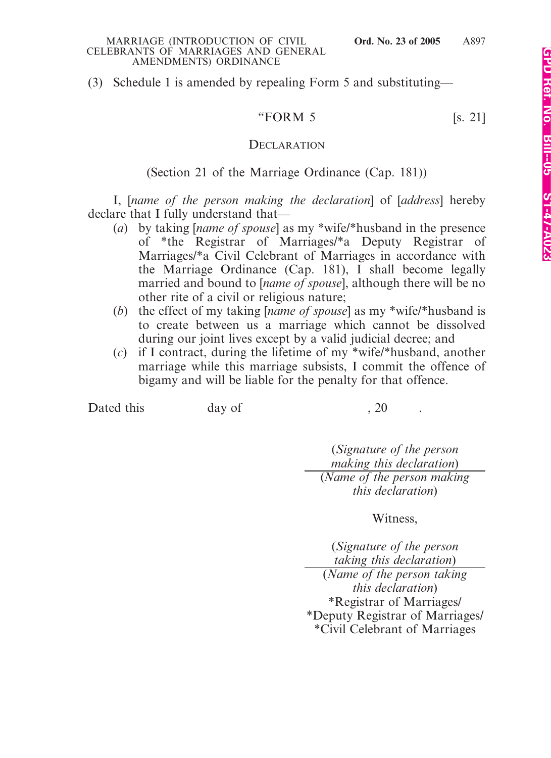(3) Schedule 1 is amended by repealing Form 5 and substituting—

"FORM 5 [s. 21]

### **DECLARATION**

### (Section 21 of the Marriage Ordinance (Cap. 181))

I, [*name of the person making the declaration*] of [*address*] hereby declare that I fully understand that—

- (*a*) by taking [*name of spouse*] as my \*wife/\*husband in the presence of \*the Registrar of Marriages/\*a Deputy Registrar of Marriages/\*a Civil Celebrant of Marriages in accordance with the Marriage Ordinance (Cap. 181), I shall become legally married and bound to [*name of spouse*], although there will be no other rite of a civil or religious nature;
- (*b*) the effect of my taking [*name of spouse*] as my \*wife/\*husband is to create between us a marriage which cannot be dissolved during our joint lives except by a valid judicial decree; and
- (*c*) if I contract, during the lifetime of my \*wife/\*husband, another marriage while this marriage subsists, I commit the offence of bigamy and will be liable for the penalty for that offence.

Dated this day of , 20

(*Signature of the person making this declaration*) (*Name of the person making this declaration*)

### Witness,

(*Signature of the person taking this declaration*)

(*Name of the person taking this declaration*) \*Registrar of Marriages/ \*Deputy Registrar of Marriages/ \*Civil Celebrant of Marriages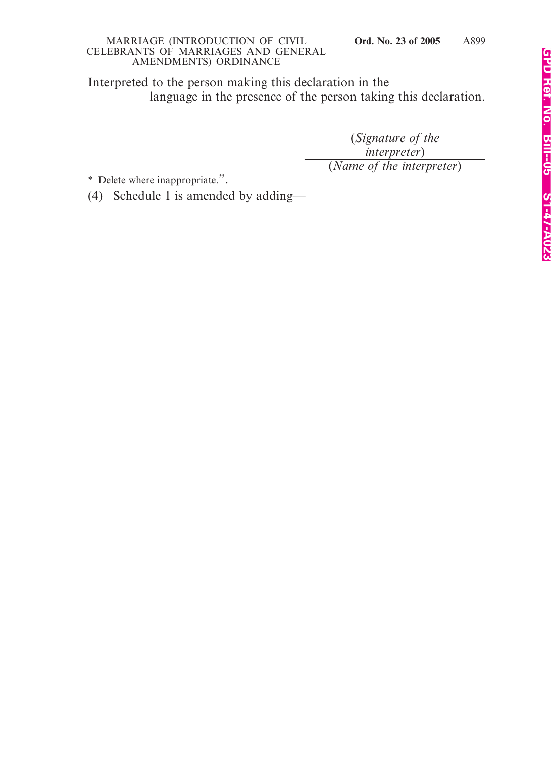Interpreted to the person making this declaration in the language in the presence of the person taking this declaration.

> (*Signature of the interpreter*) (*Name of the interpreter*)

\* Delete where inappropriate.".

(4) Schedule 1 is amended by adding—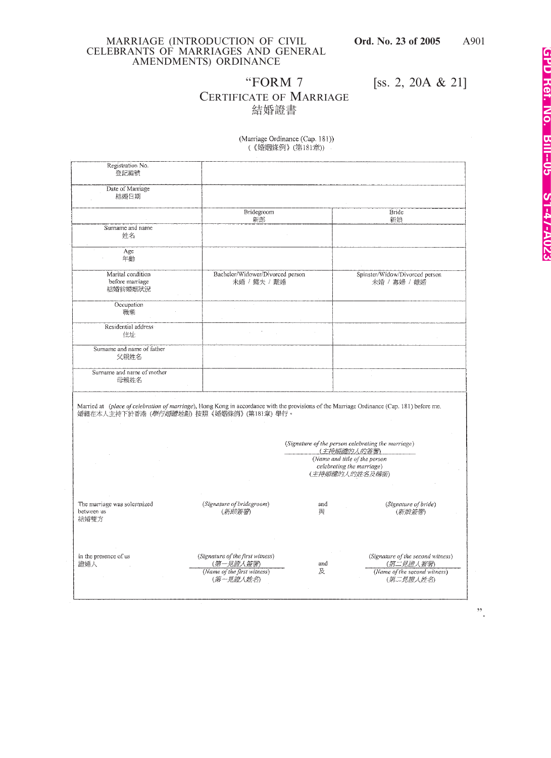"FORM 7 [ss. 2, 20A & 21]

# CERTIFICATE OF MARRIAGE 結婚證書

| (Marriage Ordinance (Cap. 181)) |  |
|---------------------------------|--|
| (《婚姻條例》(第181章))                 |  |

| Registration No.<br>登記編號                          |                                                                                           |                                                                                                                                            |  |
|---------------------------------------------------|-------------------------------------------------------------------------------------------|--------------------------------------------------------------------------------------------------------------------------------------------|--|
| Date of Marriage<br>結婚日期                          |                                                                                           |                                                                                                                                            |  |
|                                                   | Bridegroom<br>新郎                                                                          | Bride<br>新娘                                                                                                                                |  |
| Surname and name<br>姓名                            |                                                                                           |                                                                                                                                            |  |
| Age<br>年齡                                         |                                                                                           |                                                                                                                                            |  |
| Marital condition<br>before marriage<br>結婚前婚姻狀況   | Bachelor/Widower/Divorced person<br>未婚 / 鰥夫 / 離婚                                          | Spinster/Widow/Divorced person<br>未婚 / 寡婦 / 離婚                                                                                             |  |
| Occupation<br>職業                                  |                                                                                           |                                                                                                                                            |  |
| Residential address<br>住址                         |                                                                                           |                                                                                                                                            |  |
| Surname and name of father<br>父親姓名                |                                                                                           |                                                                                                                                            |  |
| Surname and name of mother<br>母親姓名                |                                                                                           |                                                                                                                                            |  |
| 婚禮在本人主持下於香港(學行婚禮地點)按照《婚姻條例》(第181章)舉行。             |                                                                                           | Married at (place of celebration of marriage), Hong Kong in accordance with the provisions of the Marriage Ordinance (Cap. 181) before me. |  |
|                                                   |                                                                                           | (Signature of the person celebrating the marriage)<br>(主持婚禮的人的簽署)<br>(Name and title of the person<br>celebrating the marriage)            |  |
|                                                   |                                                                                           | (主持婚禮的人的姓名及稱銜)                                                                                                                             |  |
| The marriage was solemnized<br>between us<br>結婚雙方 | (Signature of bridegroom)<br>(新郎簽署)                                                       | (Signature of bride)<br>and<br>與<br>(新娘簽署)                                                                                                 |  |
| in the presence of us<br>證婚人                      | (Signature of the first witness)<br>(第一見證人簽署)<br>(Name of the first witness)<br>(第一見證人姓名) | (Signature of the second witness)<br>(第二見證人簽署)<br>and<br>(Name of the second witness)<br>及<br>(第二見證人姓名)                                    |  |

".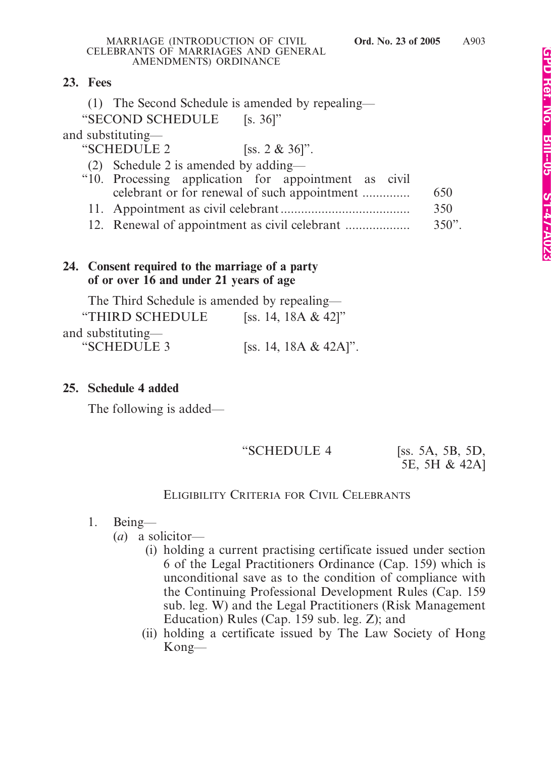### **23. Fees**

(1) The Second Schedule is amended by repealing—

"SECOND SCHEDULE [s. 36]"

and substituting—

"SCHEDULE 2 [ss. 2 & 36]".

(2) Schedule 2 is amended by adding—

- "10. Processing application for appointment as civil celebrant or for renewal of such appointment .............. 650".
	- 11. Appointment as civil celebrant ...................................... 350".
	- 12. Renewal of appointment as civil celebrant ................... 350".

## **24. Consent required to the marriage of a party of or over 16 and under 21 years of age**

The Third Schedule is amended by repealing—

| "THIRD SCHEDULE   | [ss. 14, 18A & 42]"   |
|-------------------|-----------------------|
| and substituting— |                       |
| "SCHEDULE 3       | [ss. 14, 18A & 42A]". |

## **25. Schedule 4 added**

The following is added—

"SCHEDULE 4 [ss. 5A, 5B, 5D,

5E, 5H & 42A]

# ELIGIBILITY CRITERIA FOR CIVIL CELEBRANTS

1. Being—

(*a*) a solicitor—

- (i) holding a current practising certificate issued under section 6 of the Legal Practitioners Ordinance (Cap. 159) which is unconditional save as to the condition of compliance with the Continuing Professional Development Rules (Cap. 159 sub. leg. W) and the Legal Practitioners (Risk Management Education) Rules (Cap. 159 sub. leg. Z); and
- (ii) holding a certificate issued by The Law Society of Hong Kong—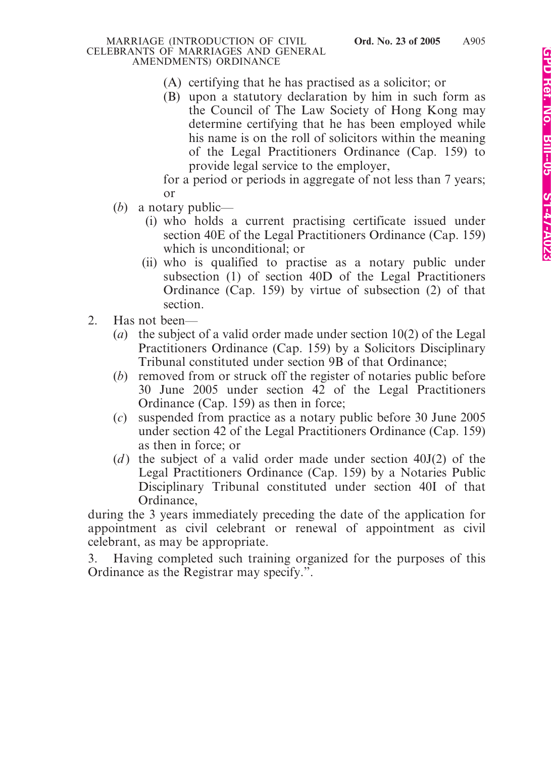- (A) certifying that he has practised as a solicitor; or
- (B) upon a statutory declaration by him in such form as the Council of The Law Society of Hong Kong may determine certifying that he has been employed while his name is on the roll of solicitors within the meaning of the Legal Practitioners Ordinance (Cap. 159) to provide legal service to the employer,

for a period or periods in aggregate of not less than 7 years; or

- (*b*) a notary public—
	- (i) who holds a current practising certificate issued under section 40E of the Legal Practitioners Ordinance (Cap. 159) which is unconditional; or
	- (ii) who is qualified to practise as a notary public under subsection (1) of section 40D of the Legal Practitioners Ordinance (Cap. 159) by virtue of subsection (2) of that section.
- 2. Has not been—
	- (*a*) the subject of a valid order made under section 10(2) of the Legal Practitioners Ordinance (Cap. 159) by a Solicitors Disciplinary Tribunal constituted under section 9B of that Ordinance;
	- (*b*) removed from or struck off the register of notaries public before 30 June 2005 under section 42 of the Legal Practitioners Ordinance (Cap. 159) as then in force;
	- (*c*) suspended from practice as a notary public before 30 June 2005 under section 42 of the Legal Practitioners Ordinance (Cap. 159) as then in force; or
	- (*d*) the subject of a valid order made under section 40J(2) of the Legal Practitioners Ordinance (Cap. 159) by a Notaries Public Disciplinary Tribunal constituted under section 40I of that Ordinance,

during the 3 years immediately preceding the date of the application for appointment as civil celebrant or renewal of appointment as civil celebrant, as may be appropriate.

3. Having completed such training organized for the purposes of this Ordinance as the Registrar may specify.".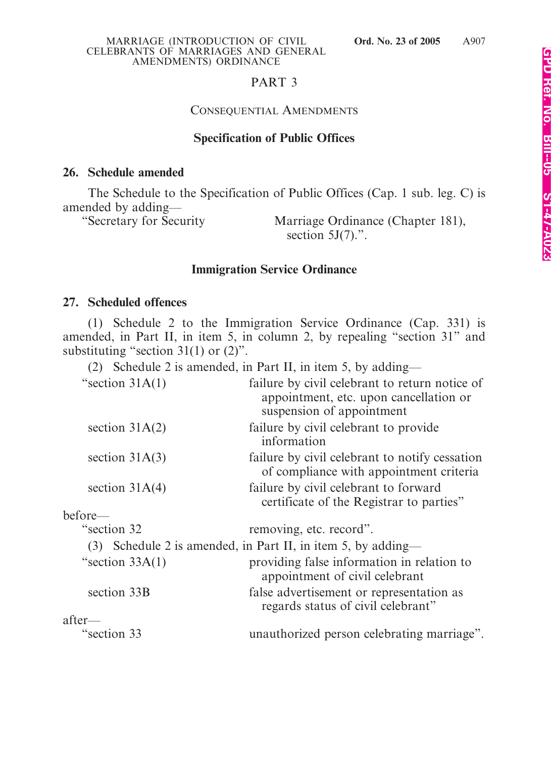### PART 3

### CONSEQUENTIAL AMENDMENTS

### **Specification of Public Offices**

### **26. Schedule amended**

The Schedule to the Specification of Public Offices (Cap. 1 sub. leg. C) is amended by adding—

"Secretary for Security Marriage Ordinance (Chapter 181), section  $5J(7)$ .".

### **Immigration Service Ordinance**

### **27. Scheduled offences**

(1) Schedule 2 to the Immigration Service Ordinance (Cap. 331) is amended, in Part II, in item 5, in column 2, by repealing "section 31" and substituting "section  $31(1)$  or  $(2)$ ".

(2) Schedule 2 is amended, in Part II, in item 5, by adding—

| "section $31A(1)$ | failure by civil celebrant to return notice of<br>appointment, etc. upon cancellation or<br>suspension of appointment |
|-------------------|-----------------------------------------------------------------------------------------------------------------------|
| section $31A(2)$  | failure by civil celebrant to provide<br>information                                                                  |
| section $31A(3)$  | failure by civil celebrant to notify cessation<br>of compliance with appointment criteria                             |
| section $31A(4)$  | failure by civil celebrant to forward<br>certificate of the Registrar to parties"                                     |
| before—           |                                                                                                                       |
| "section 32       | removing, etc. record".                                                                                               |
|                   | (3) Schedule 2 is amended, in Part II, in item 5, by adding—                                                          |
| "section $33A(1)$ | providing false information in relation to<br>appointment of civil celebrant                                          |
| section 33B       | false advertisement or representation as<br>regards status of civil celebrant"                                        |
| $after-$          |                                                                                                                       |
| esection 33       | unauthorized person celebrating marriage".                                                                            |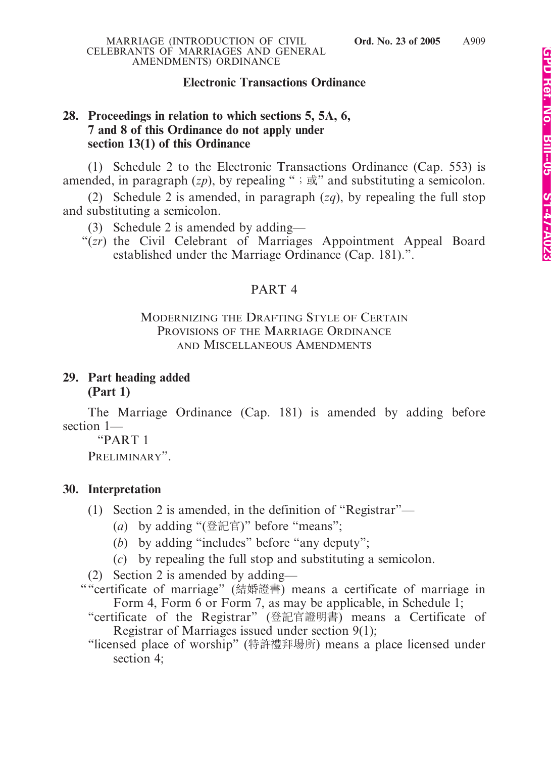### **Electronic Transactions Ordinance**

### **28. Proceedings in relation to which sections 5, 5A, 6, 7 and 8 of this Ordinance do not apply under section 13(1) of this Ordinance**

(1) Schedule 2 to the Electronic Transactions Ordinance (Cap. 553) is amended, in paragraph  $(zp)$ , by repealing ";  $\vec{\mathbb{R}}$ " and substituting a semicolon.

(2) Schedule 2 is amended, in paragraph (*zq*), by repealing the full stop and substituting a semicolon.

(3) Schedule 2 is amended by adding—

"(*zr*) the Civil Celebrant of Marriages Appointment Appeal Board established under the Marriage Ordinance (Cap. 181).".

### PART 4

### MODERNIZING THE DRAFTING STYLE OF CERTAIN PROVISIONS OF THE MARRIAGE ORDINANCE AND MISCELLANEOUS AMENDMENTS

### **29. Part heading added (Part 1)**

The Marriage Ordinance (Cap. 181) is amended by adding before section 1—

"PART 1

PRELIMINARY".

### **30. Interpretation**

- (1) Section 2 is amended, in the definition of "Registrar"—
	- (*a*) by adding "(登記官)" before "means";
	- (*b*) by adding "includes" before "any deputy";
	- (*c*) by repealing the full stop and substituting a semicolon.
- (2) Section 2 is amended by adding—
- ""certificate of marriage" (結婚證書) means a certificate of marriage in Form 4, Form 6 or Form 7, as may be applicable, in Schedule 1;
	- "certificate of the Registrar" (登記官證明書) means a Certificate of Registrar of Marriages issued under section 9(1);
	- "licensed place of worship" (特許禮拜場所) means a place licensed under section 4;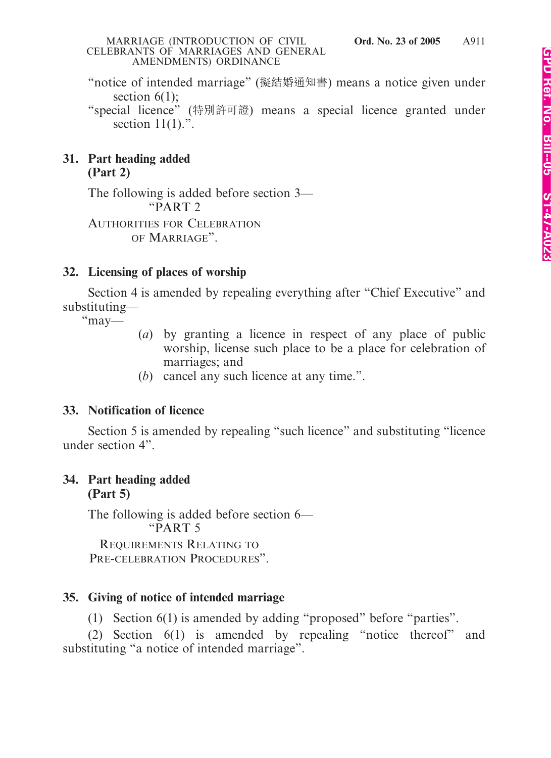"notice of intended marriage" (擬結婚通知書) means a notice given under section  $6(1)$ ;

"special licence" (特別許可證) means a special licence granted under section  $11(1)$ .".

### **31. Part heading added (Part 2)**

The following is added before section 3— "PART 2

AUTHORITIES FOR CELEBRATION OF MARRIAGE".

# **32. Licensing of places of worship**

Section 4 is amended by repealing everything after "Chief Executive" and substituting—

"may—

- (*a*) by granting a licence in respect of any place of public worship, license such place to be a place for celebration of marriages; and
- (*b*) cancel any such licence at any time.".

# **33. Notification of licence**

Section 5 is amended by repealing "such licence" and substituting "licence under section 4".

### **34. Part heading added (Part 5)**

The following is added before section 6— "PART 5 REQUIREMENTS RELATING TO

PRE-CELEBRATION PROCEDURES".

# **35. Giving of notice of intended marriage**

(1) Section 6(1) is amended by adding "proposed" before "parties".

(2) Section 6(1) is amended by repealing "notice thereof" and substituting "a notice of intended marriage".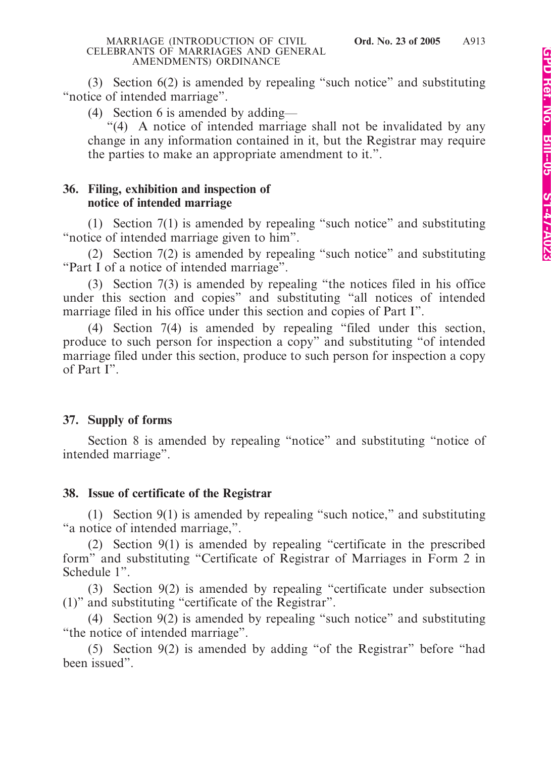(3) Section 6(2) is amended by repealing "such notice" and substituting "notice of intended marriage".

(4) Section 6 is amended by adding—

"(4) A notice of intended marriage shall not be invalidated by any change in any information contained in it, but the Registrar may require the parties to make an appropriate amendment to it.".

### **36. Filing, exhibition and inspection of notice of intended marriage**

(1) Section 7(1) is amended by repealing "such notice" and substituting "notice of intended marriage given to him".

(2) Section 7(2) is amended by repealing "such notice" and substituting "Part I of a notice of intended marriage".

(3) Section 7(3) is amended by repealing "the notices filed in his office under this section and copies" and substituting "all notices of intended marriage filed in his office under this section and copies of Part I".

(4) Section 7(4) is amended by repealing "filed under this section, produce to such person for inspection a copy" and substituting "of intended marriage filed under this section, produce to such person for inspection a copy of Part I".

## **37. Supply of forms**

Section 8 is amended by repealing "notice" and substituting "notice of intended marriage".

## **38. Issue of certificate of the Registrar**

(1) Section 9(1) is amended by repealing "such notice," and substituting "a notice of intended marriage,".

(2) Section 9(1) is amended by repealing "certificate in the prescribed form" and substituting "Certificate of Registrar of Marriages in Form 2 in Schedule 1".

(3) Section 9(2) is amended by repealing "certificate under subsection (1)" and substituting "certificate of the Registrar".

(4) Section 9(2) is amended by repealing "such notice" and substituting "the notice of intended marriage".

(5) Section 9(2) is amended by adding "of the Registrar" before "had been issued".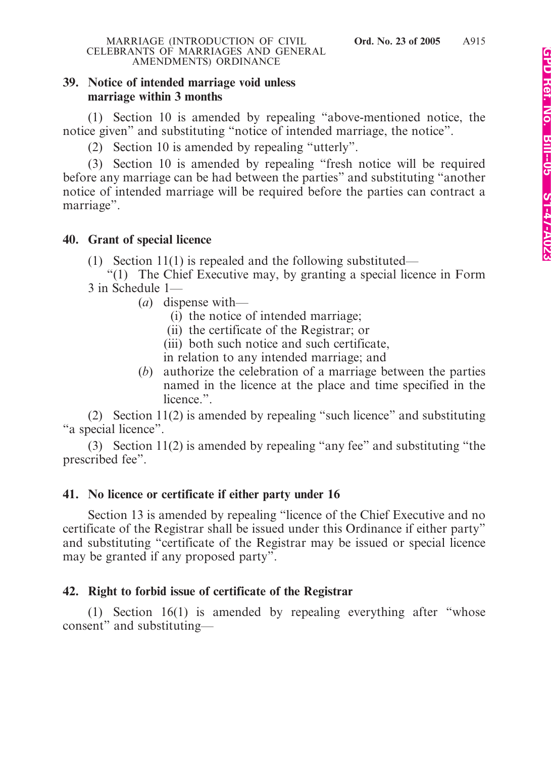### **39. Notice of intended marriage void unless marriage within 3 months**

(1) Section 10 is amended by repealing "above-mentioned notice, the notice given" and substituting "notice of intended marriage, the notice".

(2) Section 10 is amended by repealing "utterly".

(3) Section 10 is amended by repealing "fresh notice will be required before any marriage can be had between the parties" and substituting "another notice of intended marriage will be required before the parties can contract a marriage".

### **40. Grant of special licence**

- (1) Section 11(1) is repealed and the following substituted—
- "(1) The Chief Executive may, by granting a special licence in Form 3 in Schedule 1—
	- (*a*) dispense with—
		- (i) the notice of intended marriage;
		- (ii) the certificate of the Registrar; or
		- (iii) both such notice and such certificate,
		- in relation to any intended marriage; and
	- (*b*) authorize the celebration of a marriage between the parties named in the licence at the place and time specified in the licence.".

(2) Section 11(2) is amended by repealing "such licence" and substituting "a special licence".

(3) Section 11(2) is amended by repealing "any fee" and substituting "the prescribed fee".

## **41. No licence or certificate if either party under 16**

Section 13 is amended by repealing "licence of the Chief Executive and no certificate of the Registrar shall be issued under this Ordinance if either party" and substituting "certificate of the Registrar may be issued or special licence may be granted if any proposed party".

## **42. Right to forbid issue of certificate of the Registrar**

(1) Section 16(1) is amended by repealing everything after "whose consent" and substituting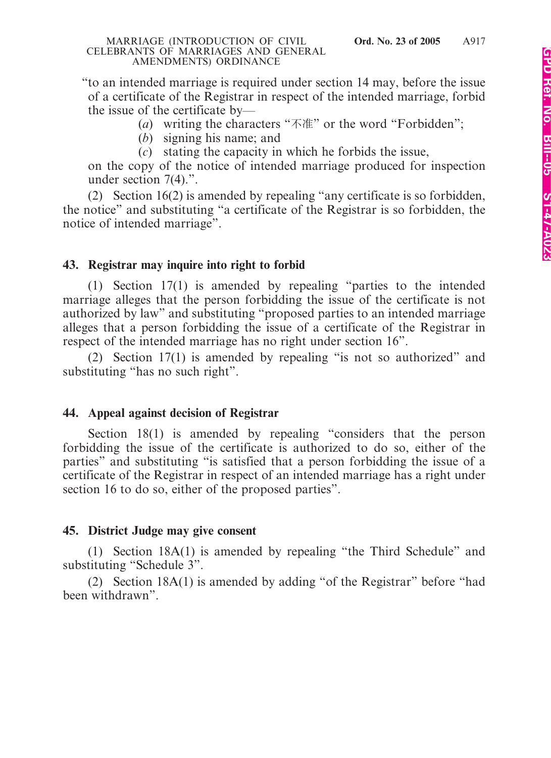"to an intended marriage is required under section 14 may, before the issue of a certificate of the Registrar in respect of the intended marriage, forbid the issue of the certificate by—

(*a*) writing the characters "不准" or the word "Forbidden";

(*b*) signing his name; and

(*c*) stating the capacity in which he forbids the issue,

on the copy of the notice of intended marriage produced for inspection under section 7(4).".

(2) Section 16(2) is amended by repealing "any certificate is so forbidden, the notice" and substituting "a certificate of the Registrar is so forbidden, the notice of intended marriage".

### **43. Registrar may inquire into right to forbid**

(1) Section 17(1) is amended by repealing "parties to the intended marriage alleges that the person forbidding the issue of the certificate is not authorized by law" and substituting "proposed parties to an intended marriage alleges that a person forbidding the issue of a certificate of the Registrar in respect of the intended marriage has no right under section 16".

(2) Section 17(1) is amended by repealing "is not so authorized" and substituting "has no such right".

### **44. Appeal against decision of Registrar**

Section 18(1) is amended by repealing "considers that the person forbidding the issue of the certificate is authorized to do so, either of the parties" and substituting "is satisfied that a person forbidding the issue of a certificate of the Registrar in respect of an intended marriage has a right under section 16 to do so, either of the proposed parties".

## **45. District Judge may give consent**

(1) Section 18A(1) is amended by repealing "the Third Schedule" and substituting "Schedule 3".

(2) Section 18A(1) is amended by adding "of the Registrar" before "had been withdrawn".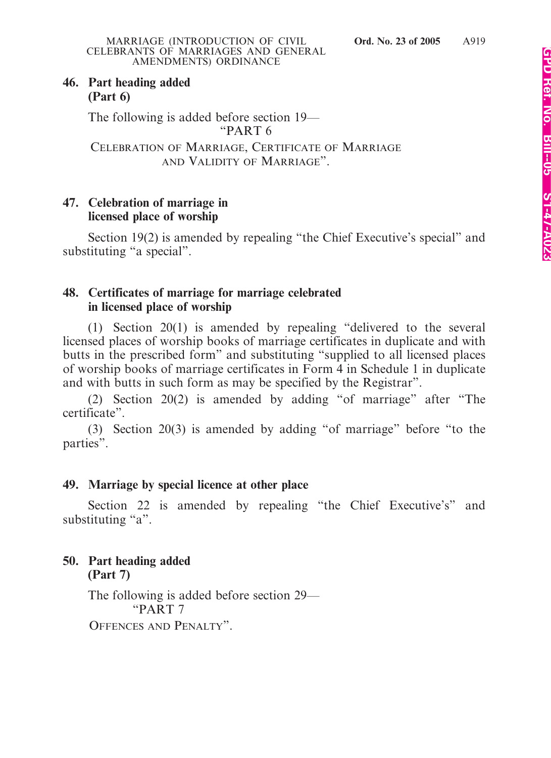### **46. Part heading added (Part 6)**

The following is added before section 19— "PART 6

CELEBRATION OF MARRIAGE, CERTIFICATE OF MARRIAGE AND VALIDITY OF MARRIAGE".

### **47. Celebration of marriage in licensed place of worship**

Section 19(2) is amended by repealing "the Chief Executive's special" and substituting "a special".

## **48. Certificates of marriage for marriage celebrated in licensed place of worship**

(1) Section 20(1) is amended by repealing "delivered to the several licensed places of worship books of marriage certificates in duplicate and with butts in the prescribed form" and substituting "supplied to all licensed places of worship books of marriage certificates in Form 4 in Schedule 1 in duplicate and with butts in such form as may be specified by the Registrar".

(2) Section 20(2) is amended by adding "of marriage" after "The certificate".

(3) Section 20(3) is amended by adding "of marriage" before "to the parties".

## **49. Marriage by special licence at other place**

Section 22 is amended by repealing "the Chief Executive's" and substituting "a".

### **50. Part heading added (Part 7)**

The following is added before section 29— "PART 7 OFFENCES AND PENALTY".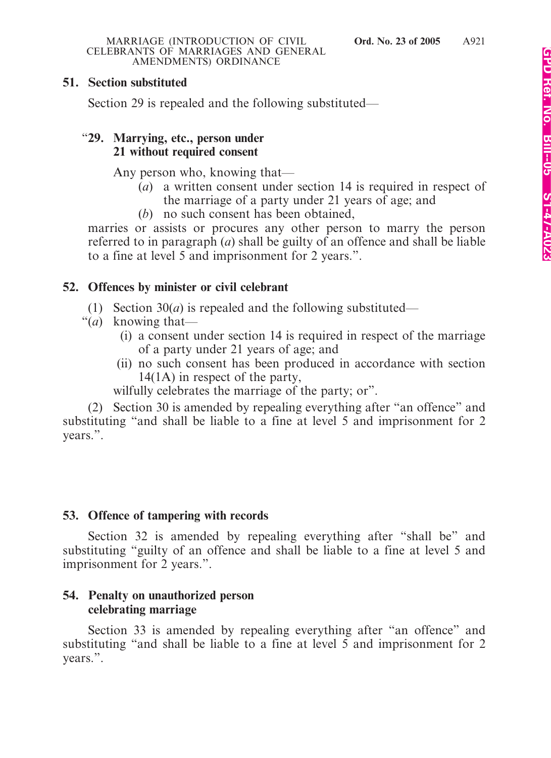### **51. Section substituted**

Section 29 is repealed and the following substituted—

### "**29. Marrying, etc., person under 21 without required consent**

Any person who, knowing that—

- (*a*) a written consent under section 14 is required in respect of the marriage of a party under 21 years of age; and
- (*b*) no such consent has been obtained,

marries or assists or procures any other person to marry the person referred to in paragraph (*a*) shall be guilty of an offence and shall be liable to a fine at level 5 and imprisonment for 2 years.".

### **52. Offences by minister or civil celebrant**

- (1) Section 30(*a*) is repealed and the following substituted—
- "(*a*) knowing that—
	- (i) a consent under section 14 is required in respect of the marriage of a party under 21 years of age; and
	- (ii) no such consent has been produced in accordance with section 14(1A) in respect of the party,

wilfully celebrates the marriage of the party; or".

(2) Section 30 is amended by repealing everything after "an offence" and substituting "and shall be liable to a fine at level 5 and imprisonment for 2 years.".

## **53. Offence of tampering with records**

Section 32 is amended by repealing everything after "shall be" and substituting "guilty of an offence and shall be liable to a fine at level 5 and imprisonment for 2 years.".

### **54. Penalty on unauthorized person celebrating marriage**

Section 33 is amended by repealing everything after "an offence" and substituting "and shall be liable to a fine at level 5 and imprisonment for 2 years.".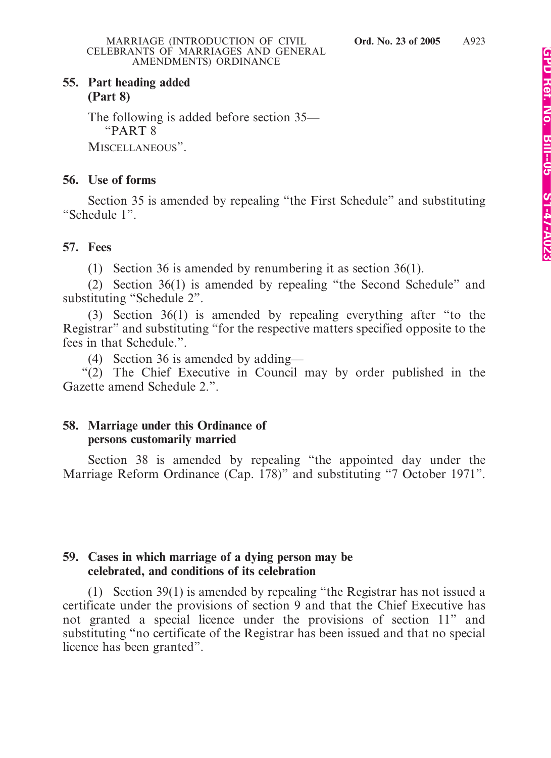### **55. Part heading added (Part 8)**

The following is added before section 35— "PART 8

MISCELLANEOUS".

### **56. Use of forms**

Section 35 is amended by repealing "the First Schedule" and substituting "Schedule 1".

### **57. Fees**

(1) Section 36 is amended by renumbering it as section 36(1).

(2) Section 36(1) is amended by repealing "the Second Schedule" and substituting "Schedule 2".

(3) Section 36(1) is amended by repealing everything after "to the Registrar" and substituting "for the respective matters specified opposite to the fees in that Schedule.".

(4) Section 36 is amended by adding—

"(2) The Chief Executive in Council may by order published in the Gazette amend Schedule 2.".

### **58. Marriage under this Ordinance of persons customarily married**

Section 38 is amended by repealing "the appointed day under the Marriage Reform Ordinance (Cap. 178)" and substituting "7 October 1971".

### **59. Cases in which marriage of a dying person may be celebrated, and conditions of its celebration**

(1) Section 39(1) is amended by repealing "the Registrar has not issued a certificate under the provisions of section 9 and that the Chief Executive has not granted a special licence under the provisions of section 11" and substituting "no certificate of the Registrar has been issued and that no special licence has been granted".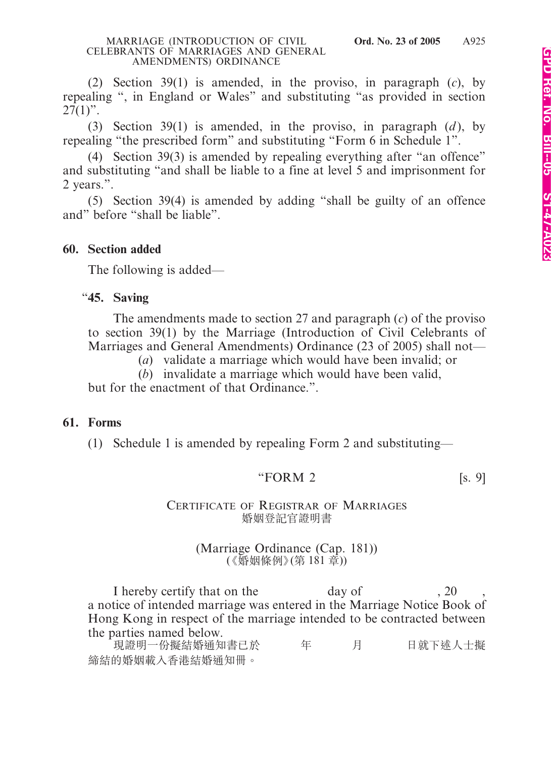(2) Section 39(1) is amended, in the proviso, in paragraph (*c*), by repealing ", in England or Wales" and substituting "as provided in section  $27(1)$ ".

(3) Section 39(1) is amended, in the proviso, in paragraph  $(d)$ , by repealing "the prescribed form" and substituting "Form 6 in Schedule 1".

(4) Section 39(3) is amended by repealing everything after "an offence" and substituting "and shall be liable to a fine at level 5 and imprisonment for 2 years.".

(5) Section 39(4) is amended by adding "shall be guilty of an offence and" before "shall be liable".

### **60. Section added**

The following is added—

### "**45. Saving**

The amendments made to section 27 and paragraph (*c*) of the proviso to section 39(1) by the Marriage (Introduction of Civil Celebrants of Marriages and General Amendments) Ordinance (23 of 2005) shall not—

(*a*) validate a marriage which would have been invalid; or

(*b*) invalidate a marriage which would have been valid,

but for the enactment of that Ordinance.".

### **61. Forms**

(1) Schedule 1 is amended by repealing Form 2 and substituting—

### "FORM 2  $[s, 9]$

### CERTIFICATE OF REGISTRAR OF MARRIAGES 婚姻登記官證明書

### (Marriage Ordinance (Cap. 181)) (《婚姻條例》 (第 181 章))

I hereby certify that on the day of , 20 a notice of intended marriage was entered in the Marriage Notice Book of Hong Kong in respect of the marriage intended to be contracted between the parties named below.

現證明一份擬結婚通知書已於 年 月 日就下述人士擬 締結的婚姻載入香港結婚通知冊。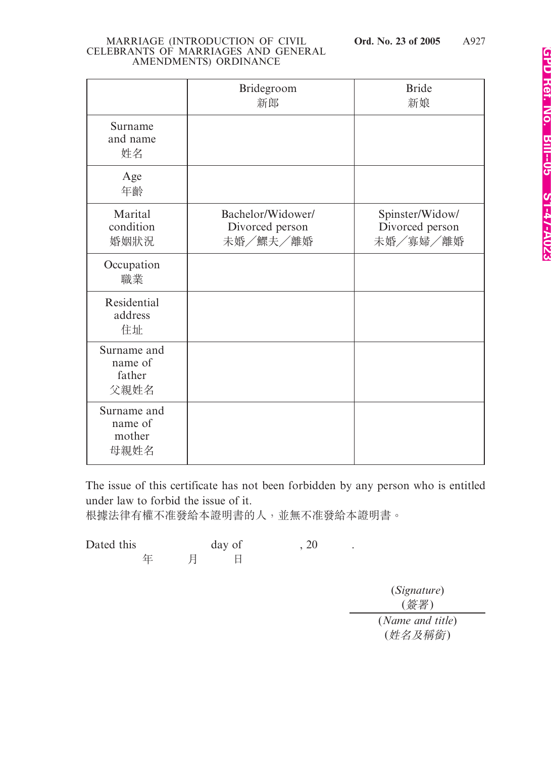|                                          | Bridegroom<br>新郎                                 | <b>Bride</b><br>新娘                             |
|------------------------------------------|--------------------------------------------------|------------------------------------------------|
| Surname<br>and name<br>姓名                |                                                  |                                                |
| Age<br>年齡                                |                                                  |                                                |
| Marital<br>condition<br>婚姻狀況             | Bachelor/Widower/<br>Divorced person<br>未婚/鰥夫/離婚 | Spinster/Widow/<br>Divorced person<br>未婚/寡婦/離婚 |
| Occupation<br>職業                         |                                                  |                                                |
| Residential<br>address<br>住址             |                                                  |                                                |
| Surname and<br>name of<br>father<br>父親姓名 |                                                  |                                                |
| Surname and<br>name of<br>mother<br>母親姓名 |                                                  |                                                |

The issue of this certificate has not been forbidden by any person who is entitled under law to forbid the issue of it.

根據法律有權不准發給本證明書的人,並無不准發給本證明書。

Dated this day of , 20 . 年 月 日

> (*Signature*) (簽署) (*Name and title*) (姓名及稱銜)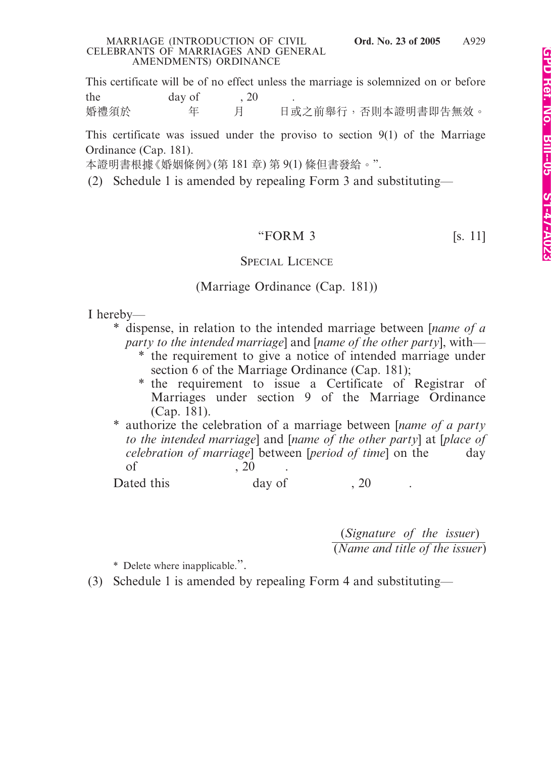This certificate will be of no effect unless the marriage is solemnized on or before the day of , 20 婚禮須於 年 月 日或之前舉行, 否則本證明書即告無效。

This certificate was issued under the proviso to section 9(1) of the Marriage Ordinance (Cap. 181).

本證明書根據《婚姻條例》(第 181 章) 第 9(1) 條但書發給。".

(2) Schedule 1 is amended by repealing Form 3 and substituting—

### "FORM 3  $[s. 11]$

### SPECIAL LICENCE

### (Marriage Ordinance (Cap. 181))

I hereby—

- \* dispense, in relation to the intended marriage between [*name of a party to the intended marriage*] and [*name of the other party*], with—
	- \* the requirement to give a notice of intended marriage under section 6 of the Marriage Ordinance (Cap. 181);
	- \* the requirement to issue a Certificate of Registrar of Marriages under section 9 of the Marriage Ordinance (Cap. 181).
- \* authorize the celebration of a marriage between [*name of a party to the intended marriage*] and [*name of the other party*] at [*place of celebration of marriage*] between [*period of time*] on the day of , 20 .

Dated this day of , 20

(*Signature of the issuer*) (*Name and title of the issuer*)

\* Delete where inapplicable.".

(3) Schedule 1 is amended by repealing Form 4 and substituting—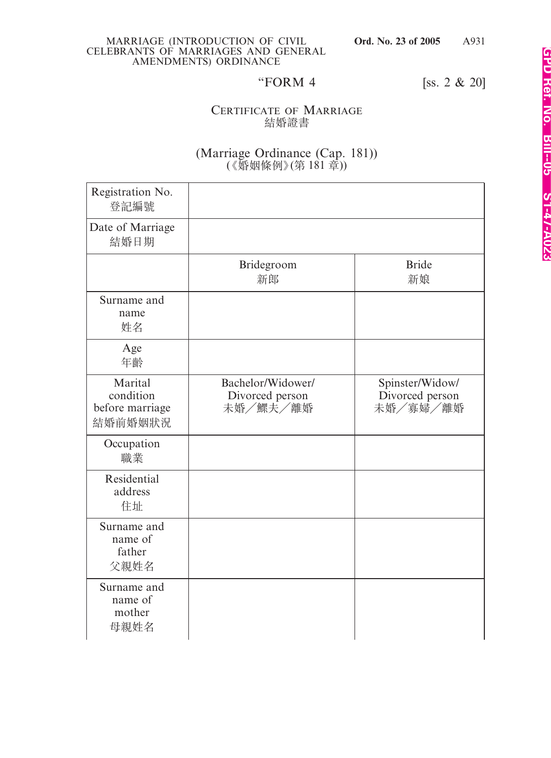A931

"FORM 4 [ss. 2 & 20]

### CERTIFICATE OF MARRIAGE 結婚證書

### (Marriage Ordinance (Cap. 181)) (《婚姻條例》(第 181 章))

| Registration No.<br>登記編號                           |                                                  |                                                |
|----------------------------------------------------|--------------------------------------------------|------------------------------------------------|
| Date of Marriage<br>結婚日期                           |                                                  |                                                |
|                                                    | Bridegroom<br>新郎                                 | <b>Bride</b><br>新娘                             |
| Surname and<br>name<br>姓名                          |                                                  |                                                |
| Age<br>年齡                                          |                                                  |                                                |
| Marital<br>condition<br>before marriage<br>結婚前婚姻狀況 | Bachelor/Widower/<br>Divorced person<br>未婚/鰥夫/離婚 | Spinster/Widow/<br>Divorced person<br>未婚/寡婦/離婚 |
| Occupation<br>職業                                   |                                                  |                                                |
| Residential<br>address<br>住址                       |                                                  |                                                |
| Surname and<br>name of<br>father<br>父親姓名           |                                                  |                                                |
| Surname and<br>name of<br>mother<br>母親姓名           |                                                  |                                                |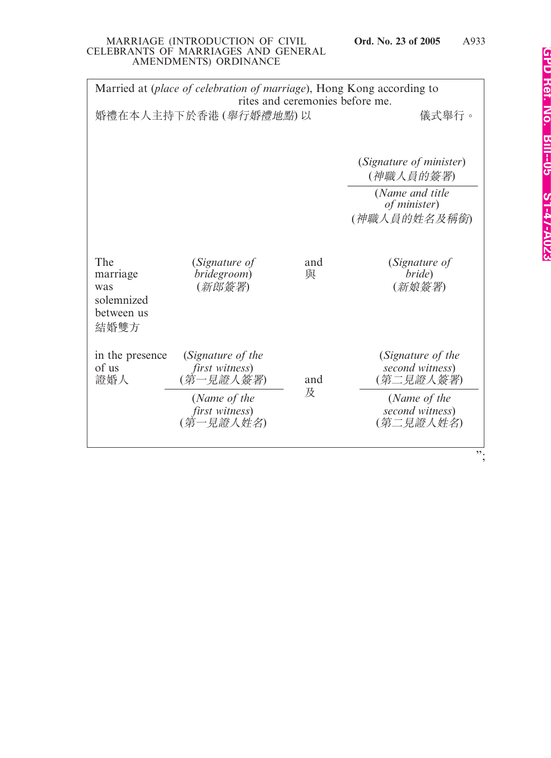| Married at (place of celebration of marriage), Hong Kong according to<br>rites and ceremonies before me. |                                                                                                 |          |                                                                                                   |  |
|----------------------------------------------------------------------------------------------------------|-------------------------------------------------------------------------------------------------|----------|---------------------------------------------------------------------------------------------------|--|
|                                                                                                          | 婚禮在本人主持下於香港 (舉行婚禮地點)以                                                                           |          | 儀式舉行。                                                                                             |  |
|                                                                                                          |                                                                                                 |          | (Signature of minister)<br>(神職人員的簽署)<br>(Name and title<br>of minister)<br>(神職人員的姓名及稱銜)           |  |
|                                                                                                          |                                                                                                 |          |                                                                                                   |  |
| The<br>marriage<br>was<br>solemnized<br>between us<br>結婚雙方                                               | (Signature of<br>bridegroom)<br>(新郎簽署)                                                          | and<br>與 | (Signature of<br>bride)<br>(新娘簽署)                                                                 |  |
| in the presence<br>of us<br>證婚人                                                                          | (Signature of the<br>first witness)<br>(第一見證人簽署)<br>(Name of the<br>first witness)<br>(第一見證人姓名) | and<br>及 | (Signature of the<br>second witness)<br>(第二見證人簽署)<br>(Name of the<br>second witness)<br>(第二見證人姓名) |  |
|                                                                                                          |                                                                                                 |          | ".                                                                                                |  |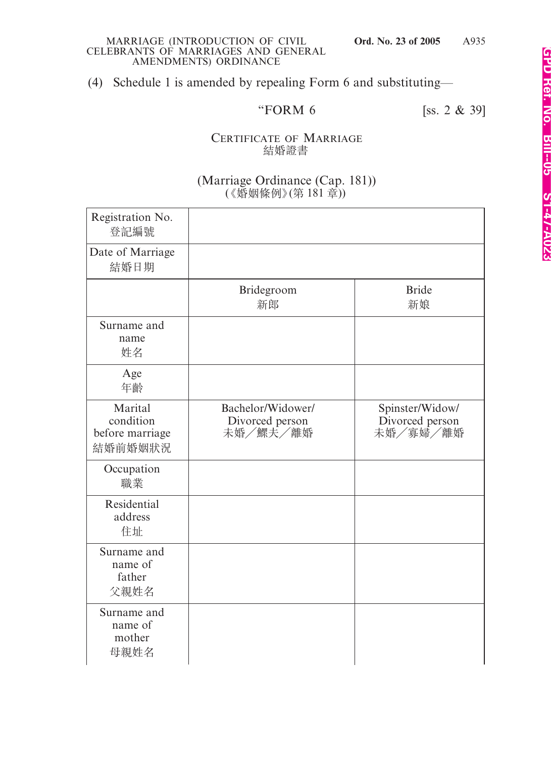(4) Schedule 1 is amended by repealing Form 6 and substituting—

# "FORM 6 [ss. 2 & 39]

### CERTIFICATE OF MARRIAGE 結婚證書

### (Marriage Ordinance (Cap. 181)) (《婚姻條例》(第 181 章))

| Registration No.<br>登記編號                           |                                                  |                                                |
|----------------------------------------------------|--------------------------------------------------|------------------------------------------------|
| Date of Marriage<br>結婚日期                           |                                                  |                                                |
|                                                    | Bridegroom<br>新郎                                 | <b>Bride</b><br>新娘                             |
| Surname and<br>name<br>姓名                          |                                                  |                                                |
| Age<br>年齡                                          |                                                  |                                                |
| Marital<br>condition<br>before marriage<br>結婚前婚姻狀況 | Bachelor/Widower/<br>Divorced person<br>未婚/鰥夫/離婚 | Spinster/Widow/<br>Divorced person<br>未婚/寡婦/離婚 |
| Occupation<br>職業                                   |                                                  |                                                |
| Residential<br>address<br>住址                       |                                                  |                                                |
| Surname and<br>name of<br>father<br>父親姓名           |                                                  |                                                |
| Surname and<br>name of<br>mother<br>母親姓名           |                                                  |                                                |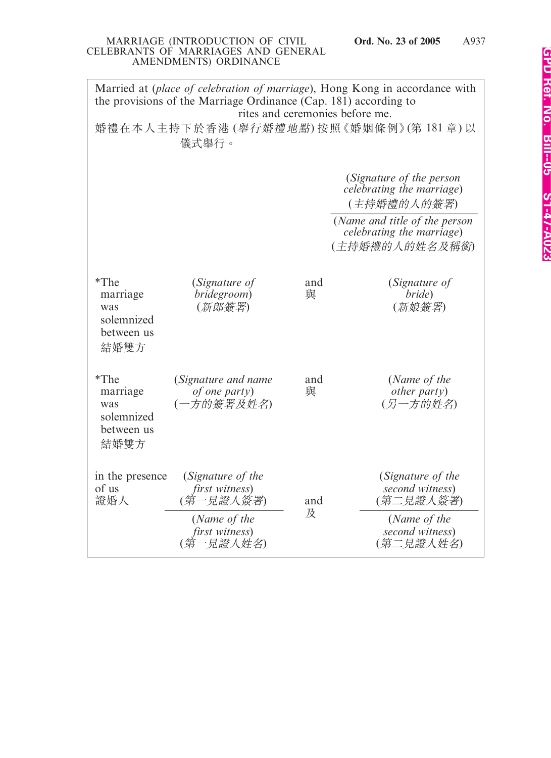| Married at (place of celebration of marriage), Hong Kong in accordance with<br>the provisions of the Marriage Ordinance (Cap. 181) according to |                                                                                                 |          |                                                                                                   |  |
|-------------------------------------------------------------------------------------------------------------------------------------------------|-------------------------------------------------------------------------------------------------|----------|---------------------------------------------------------------------------------------------------|--|
| rites and ceremonies before me.<br>婚禮在本人主持下於香港 (舉行婚禮地點) 按照《婚姻條例》(第181章) 以<br>儀式舉行。                                                              |                                                                                                 |          |                                                                                                   |  |
|                                                                                                                                                 |                                                                                                 |          | (Signature of the person<br><i>celebrating the marriage</i> )<br>(主持婚禮的人的簽署)                      |  |
|                                                                                                                                                 |                                                                                                 |          | (Name and title of the person<br><i>celebrating the marriage</i> )<br>(主持婚禮的人的姓名及稱銜)              |  |
| $*$ The<br>marriage<br>was<br>solemnized<br>between us<br>結婚雙方                                                                                  | (Signature of<br>bridegroom)<br>(新郎簽署)                                                          | and<br>與 | (Signature of<br>bride)<br>(新娘簽署)                                                                 |  |
| $*$ The<br>marriage<br>was<br>solemnized<br>between us<br>結婚雙方                                                                                  | (Signature and name<br><i>of one party</i> )<br>(一方的簽署及姓名)                                      | and<br>與 | (Name of the<br><i>other party</i> )<br>(另一方的姓名)                                                  |  |
| in the presence<br>of us<br>證婚人                                                                                                                 | (Signature of the<br>first witness)<br>(第一見證人簽署)<br>(Name of the<br>first witness)<br>(第一見證人姓名) | and<br>及 | (Signature of the<br>second witness)<br>(第二見證人簽署)<br>(Name of the<br>second witness)<br>(第二見證人姓名) |  |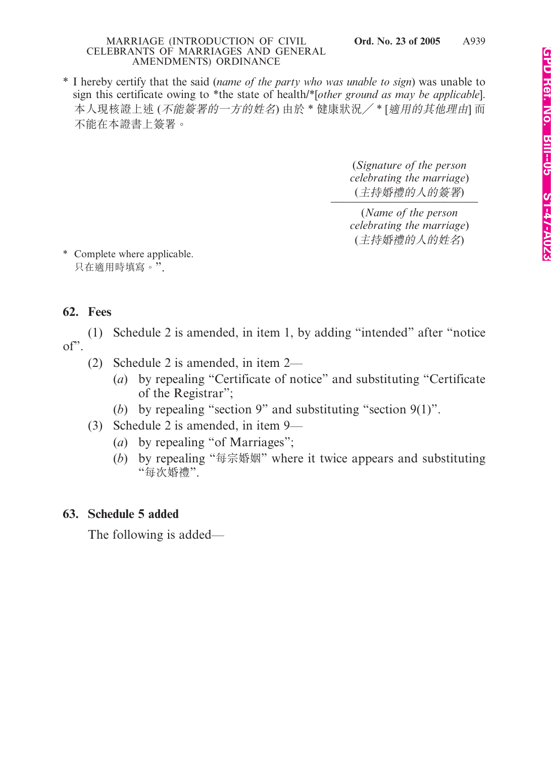\* I hereby certify that the said (*name of the party who was unable to sign*) was unable to sign this certificate owing to \*the state of health/\*[*other ground as may be applicable*]. 本人現核證上述 (不能簽署的一方的姓名) 由於 \* 健康狀況/ \* [適用的其他理由] 而 不能在本證書上簽署。

> (*Signature of the person celebrating the marriage*) (主持婚禮的人的簽署) *\_\_\_\_\_\_\_\_\_\_\_\_\_\_\_\_\_\_\_\_\_\_\_\_\_\_*

> (*Name of the person celebrating the marriage*) (主持婚禮的人的姓名)

\* Complete where applicable. 只在適用時填寫。".

## **62. Fees**

(1) Schedule 2 is amended, in item 1, by adding "intended" after "notice  $of$ ".

- (2) Schedule 2 is amended, in item 2—
	- (*a*) by repealing "Certificate of notice" and substituting "Certificate of the Registrar";
	- (*b*) by repealing "section 9" and substituting "section 9(1)".
- (3) Schedule 2 is amended, in item 9—
	- (*a*) by repealing "of Marriages";
	- (*b*) by repealing "每宗婚姻" where it twice appears and substituting "每次婚禮".

## **63. Schedule 5 added**

The following is added—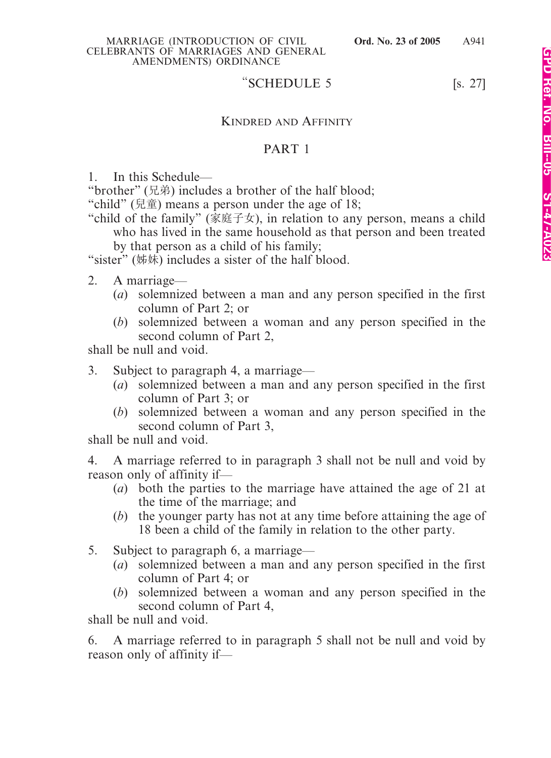### "SCHEDULE  $5$  [s. 27]

### KINDRED AND AFFINITY

### PART 1

1. In this Schedule—

"brother" (兄弟) includes a brother of the half blood;

"child" (兒童) means a person under the age of 18;

"child of the family" (家庭子女), in relation to any person, means a child who has lived in the same household as that person and been treated by that person as a child of his family;

"sister" (姊妹) includes a sister of the half blood.

- 2. A marriage—
	- (*a*) solemnized between a man and any person specified in the first column of Part 2; or
	- (*b*) solemnized between a woman and any person specified in the second column of Part 2,

shall be null and void.

- 3. Subject to paragraph 4, a marriage—
	- (*a*) solemnized between a man and any person specified in the first column of Part 3; or
	- (*b*) solemnized between a woman and any person specified in the second column of Part 3,

shall be null and void.

4. A marriage referred to in paragraph 3 shall not be null and void by reason only of affinity if—

- (*a*) both the parties to the marriage have attained the age of 21 at the time of the marriage; and
- (*b*) the younger party has not at any time before attaining the age of 18 been a child of the family in relation to the other party.
- 5. Subject to paragraph 6, a marriage—
	- (*a*) solemnized between a man and any person specified in the first column of Part 4; or
	- (*b*) solemnized between a woman and any person specified in the second column of Part 4,

shall be null and void.

6. A marriage referred to in paragraph 5 shall not be null and void by reason only of affinity if—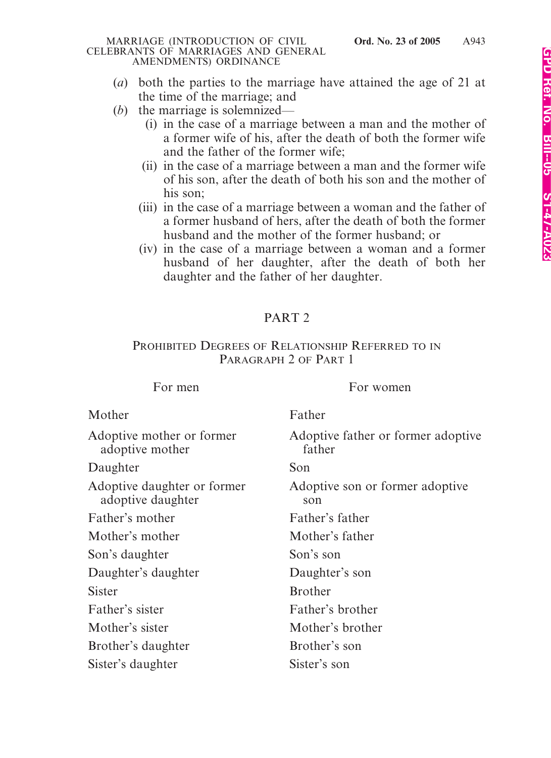- (*a*) both the parties to the marriage have attained the age of 21 at the time of the marriage; and
- (*b*) the marriage is solemnized—
	- (i) in the case of a marriage between a man and the mother of a former wife of his, after the death of both the former wife and the father of the former wife;
	- (ii) in the case of a marriage between a man and the former wife of his son, after the death of both his son and the mother of his son;
	- (iii) in the case of a marriage between a woman and the father of a former husband of hers, after the death of both the former husband and the mother of the former husband; or
	- (iv) in the case of a marriage between a woman and a former husband of her daughter, after the death of both her daughter and the father of her daughter.

# PART 2

### PROHIBITED DEGREES OF RELATIONSHIP REFERRED TO IN PARAGRAPH 2 OF PART 1

For men For women

| Mother                                           | Father                                       |
|--------------------------------------------------|----------------------------------------------|
| Adoptive mother or former<br>adoptive mother     | Adoptive father or former adoptive<br>father |
| Daughter                                         | Son                                          |
| Adoptive daughter or former<br>adoptive daughter | Adoptive son or former adoptive<br>son       |
| Father's mother                                  | Father's father                              |
| Mother's mother                                  | Mother's father                              |
| Son's daughter                                   | Son's son                                    |
| Daughter's daughter                              | Daughter's son                               |
| <b>Sister</b>                                    | <b>Brother</b>                               |
| Father's sister                                  | Father's brother                             |
| Mother's sister                                  | Mother's brother                             |
| Brother's daughter                               | Brother's son                                |
| Sister's daughter                                | Sister's son                                 |
|                                                  |                                              |